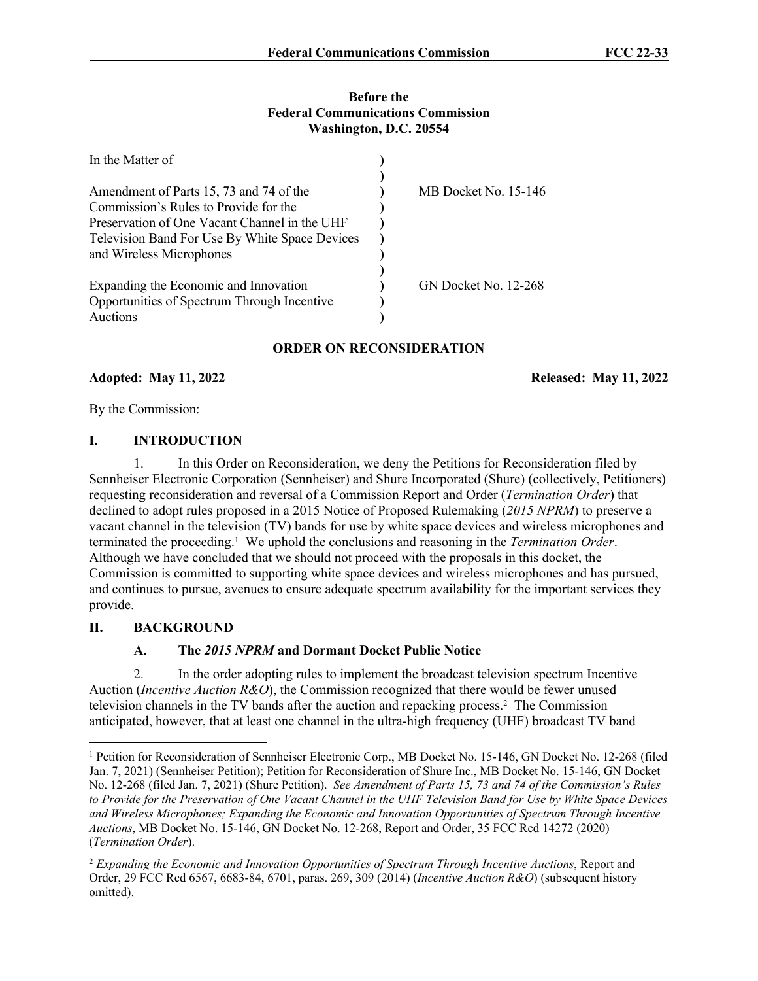#### **Before the Federal Communications Commission Washington, D.C. 20554**

| In the Matter of                               |                      |
|------------------------------------------------|----------------------|
|                                                |                      |
| Amendment of Parts 15, 73 and 74 of the        | MB Docket No. 15-146 |
| Commission's Rules to Provide for the          |                      |
| Preservation of One Vacant Channel in the UHF  |                      |
| Television Band For Use By White Space Devices |                      |
| and Wireless Microphones                       |                      |
|                                                |                      |
| Expanding the Economic and Innovation          | GN Docket No. 12-268 |
| Opportunities of Spectrum Through Incentive    |                      |
| Auctions                                       |                      |

# **ORDER ON RECONSIDERATION**

### **Adopted: May 11, 2022 Released: May 11, 2022**

By the Commission:

## **I. INTRODUCTION**

1. In this Order on Reconsideration, we deny the Petitions for Reconsideration filed by Sennheiser Electronic Corporation (Sennheiser) and Shure Incorporated (Shure) (collectively, Petitioners) requesting reconsideration and reversal of a Commission Report and Order (*Termination Order*) that declined to adopt rules proposed in a 2015 Notice of Proposed Rulemaking (*2015 NPRM*) to preserve a vacant channel in the television (TV) bands for use by white space devices and wireless microphones and terminated the proceeding.<sup>1</sup> We uphold the conclusions and reasoning in the *Termination Order*. Although we have concluded that we should not proceed with the proposals in this docket, the Commission is committed to supporting white space devices and wireless microphones and has pursued, and continues to pursue, avenues to ensure adequate spectrum availability for the important services they provide.

# **II. BACKGROUND**

# **A. The** *2015 NPRM* **and Dormant Docket Public Notice**

2. In the order adopting rules to implement the broadcast television spectrum Incentive Auction (*Incentive Auction R&O*), the Commission recognized that there would be fewer unused television channels in the TV bands after the auction and repacking process.<sup>2</sup> The Commission anticipated, however, that at least one channel in the ultra-high frequency (UHF) broadcast TV band

<sup>&</sup>lt;sup>1</sup> Petition for Reconsideration of Sennheiser Electronic Corp., MB Docket No. 15-146, GN Docket No. 12-268 (filed Jan. 7, 2021) (Sennheiser Petition); Petition for Reconsideration of Shure Inc., MB Docket No. 15-146, GN Docket No. 12-268 (filed Jan. 7, 2021) (Shure Petition). *See Amendment of Parts 15, 73 and 74 of the Commission's Rules to Provide for the Preservation of One Vacant Channel in the UHF Television Band for Use by White Space Devices and Wireless Microphones; Expanding the Economic and Innovation Opportunities of Spectrum Through Incentive Auctions*, MB Docket No. 15-146, GN Docket No. 12-268, Report and Order, 35 FCC Rcd 14272 (2020) (*Termination Order*).

<sup>2</sup> *Expanding the Economic and Innovation Opportunities of Spectrum Through Incentive Auctions*, Report and Order, 29 FCC Rcd 6567, 6683-84, 6701, paras. 269, 309 (2014) (*Incentive Auction R&O*) (subsequent history omitted).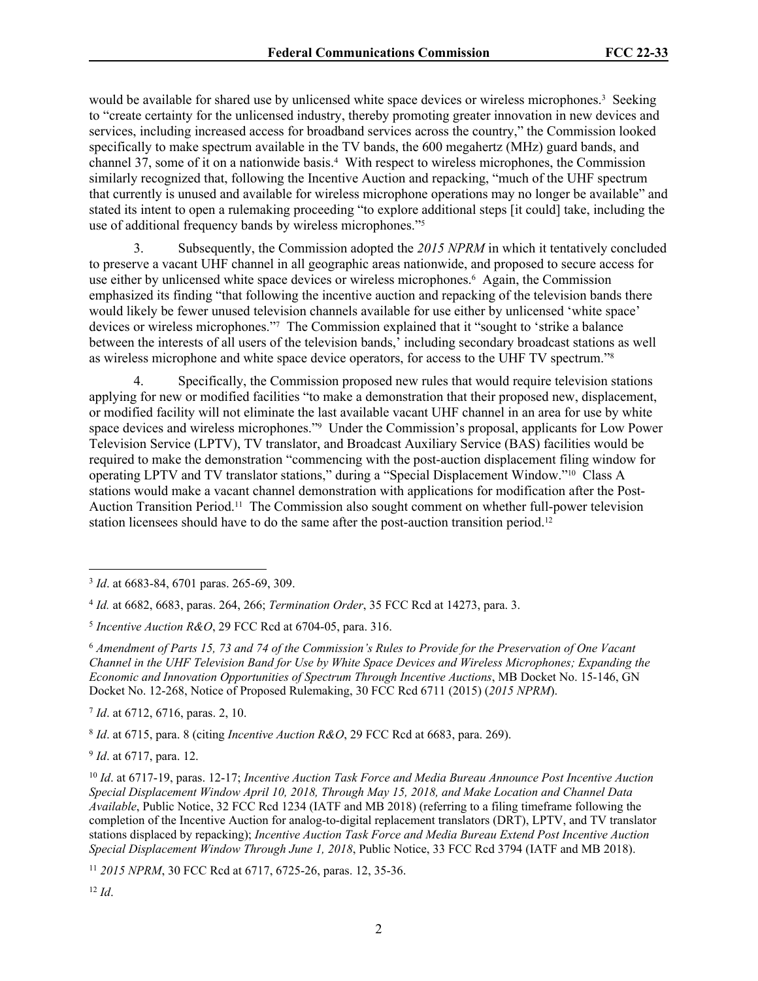would be available for shared use by unlicensed white space devices or wireless microphones.<sup>3</sup> Seeking to "create certainty for the unlicensed industry, thereby promoting greater innovation in new devices and services, including increased access for broadband services across the country," the Commission looked specifically to make spectrum available in the TV bands, the 600 megahertz (MHz) guard bands, and channel 37, some of it on a nationwide basis.<sup>4</sup> With respect to wireless microphones, the Commission similarly recognized that, following the Incentive Auction and repacking, "much of the UHF spectrum that currently is unused and available for wireless microphone operations may no longer be available" and stated its intent to open a rulemaking proceeding "to explore additional steps [it could] take, including the use of additional frequency bands by wireless microphones."<sup>5</sup>

3. Subsequently, the Commission adopted the *2015 NPRM* in which it tentatively concluded to preserve a vacant UHF channel in all geographic areas nationwide, and proposed to secure access for use either by unlicensed white space devices or wireless microphones.<sup>6</sup> Again, the Commission emphasized its finding "that following the incentive auction and repacking of the television bands there would likely be fewer unused television channels available for use either by unlicensed 'white space' devices or wireless microphones."<sup>7</sup> The Commission explained that it "sought to 'strike a balance between the interests of all users of the television bands,' including secondary broadcast stations as well as wireless microphone and white space device operators, for access to the UHF TV spectrum."<sup>8</sup>

4. Specifically, the Commission proposed new rules that would require television stations applying for new or modified facilities "to make a demonstration that their proposed new, displacement, or modified facility will not eliminate the last available vacant UHF channel in an area for use by white space devices and wireless microphones."<sup>9</sup> Under the Commission's proposal, applicants for Low Power Television Service (LPTV), TV translator, and Broadcast Auxiliary Service (BAS) facilities would be required to make the demonstration "commencing with the post-auction displacement filing window for operating LPTV and TV translator stations," during a "Special Displacement Window."10 Class A stations would make a vacant channel demonstration with applications for modification after the Post-Auction Transition Period.11 The Commission also sought comment on whether full-power television station licensees should have to do the same after the post-auction transition period.<sup>12</sup>

7 *Id*. at 6712, 6716, paras. 2, 10.

8 *Id*. at 6715, para. 8 (citing *Incentive Auction R&O*, 29 FCC Rcd at 6683, para. 269).

9 *Id*. at 6717, para. 12.

<sup>11</sup> *2015 NPRM*, 30 FCC Rcd at 6717, 6725-26, paras. 12, 35-36.

<sup>3</sup> *Id*. at 6683-84, 6701 paras. 265-69, 309.

<sup>4</sup> *Id.* at 6682, 6683, paras. 264, 266; *Termination Order*, 35 FCC Rcd at 14273, para. 3.

<sup>5</sup> *Incentive Auction R&O*, 29 FCC Rcd at 6704-05, para. 316.

<sup>6</sup> *Amendment of Parts 15, 73 and 74 of the Commission's Rules to Provide for the Preservation of One Vacant Channel in the UHF Television Band for Use by White Space Devices and Wireless Microphones; Expanding the Economic and Innovation Opportunities of Spectrum Through Incentive Auctions*, MB Docket No. 15-146, GN Docket No. 12-268, Notice of Proposed Rulemaking, 30 FCC Rcd 6711 (2015) (*2015 NPRM*).

<sup>10</sup> *Id*. at 6717-19, paras. 12-17; *Incentive Auction Task Force and Media Bureau Announce Post Incentive Auction Special Displacement Window April 10, 2018, Through May 15, 2018, and Make Location and Channel Data Available*, Public Notice, 32 FCC Rcd 1234 (IATF and MB 2018) (referring to a filing timeframe following the completion of the Incentive Auction for analog-to-digital replacement translators (DRT), LPTV, and TV translator stations displaced by repacking); *Incentive Auction Task Force and Media Bureau Extend Post Incentive Auction Special Displacement Window Through June 1, 2018*, Public Notice, 33 FCC Rcd 3794 (IATF and MB 2018).

<sup>12</sup> *Id*.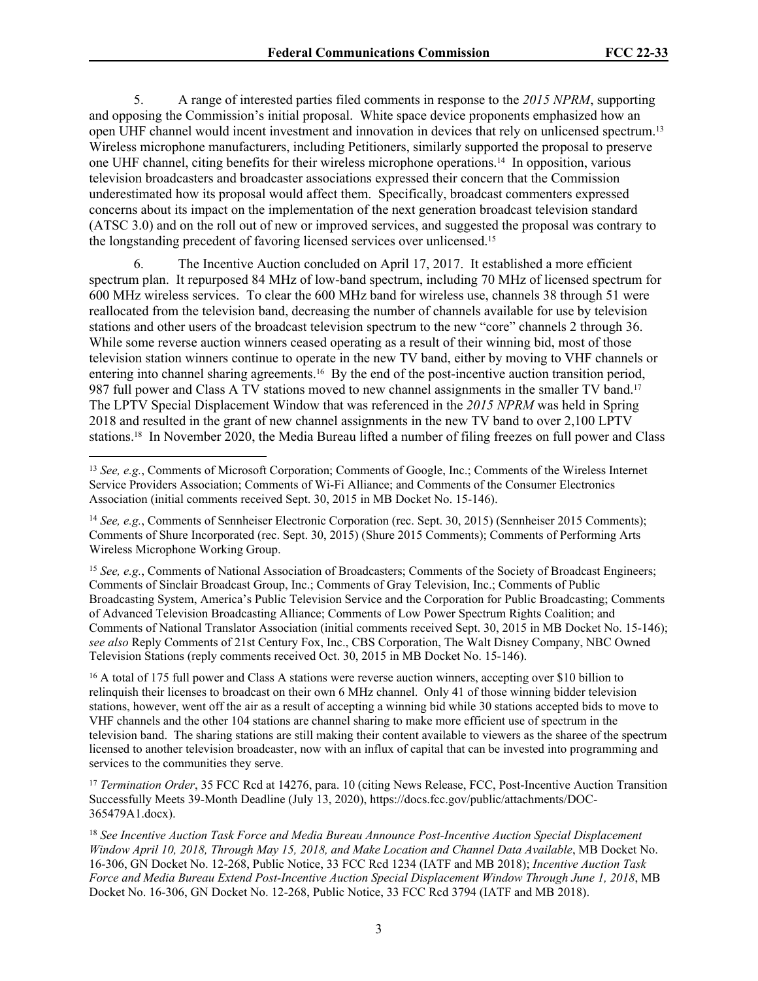5. A range of interested parties filed comments in response to the *2015 NPRM*, supporting and opposing the Commission's initial proposal. White space device proponents emphasized how an open UHF channel would incent investment and innovation in devices that rely on unlicensed spectrum.<sup>13</sup> Wireless microphone manufacturers, including Petitioners, similarly supported the proposal to preserve one UHF channel, citing benefits for their wireless microphone operations.14 In opposition, various television broadcasters and broadcaster associations expressed their concern that the Commission underestimated how its proposal would affect them. Specifically, broadcast commenters expressed concerns about its impact on the implementation of the next generation broadcast television standard (ATSC 3.0) and on the roll out of new or improved services, and suggested the proposal was contrary to the longstanding precedent of favoring licensed services over unlicensed.<sup>15</sup>

6. The Incentive Auction concluded on April 17, 2017. It established a more efficient spectrum plan. It repurposed 84 MHz of low-band spectrum, including 70 MHz of licensed spectrum for 600 MHz wireless services. To clear the 600 MHz band for wireless use, channels 38 through 51 were reallocated from the television band, decreasing the number of channels available for use by television stations and other users of the broadcast television spectrum to the new "core" channels 2 through 36. While some reverse auction winners ceased operating as a result of their winning bid, most of those television station winners continue to operate in the new TV band, either by moving to VHF channels or entering into channel sharing agreements.16 By the end of the post-incentive auction transition period, 987 full power and Class A TV stations moved to new channel assignments in the smaller TV band.<sup>17</sup> The LPTV Special Displacement Window that was referenced in the *2015 NPRM* was held in Spring 2018 and resulted in the grant of new channel assignments in the new TV band to over 2,100 LPTV stations.18 In November 2020, the Media Bureau lifted a number of filing freezes on full power and Class

<sup>15</sup> *See, e.g.*, Comments of National Association of Broadcasters; Comments of the Society of Broadcast Engineers; Comments of Sinclair Broadcast Group, Inc.; Comments of Gray Television, Inc.; Comments of Public Broadcasting System, America's Public Television Service and the Corporation for Public Broadcasting; Comments of Advanced Television Broadcasting Alliance; Comments of Low Power Spectrum Rights Coalition; and Comments of National Translator Association (initial comments received Sept. 30, 2015 in MB Docket No. 15-146); *see also* Reply Comments of 21st Century Fox, Inc., CBS Corporation, The Walt Disney Company, NBC Owned Television Stations (reply comments received Oct. 30, 2015 in MB Docket No. 15-146).

<sup>16</sup> A total of 175 full power and Class A stations were reverse auction winners, accepting over \$10 billion to relinquish their licenses to broadcast on their own 6 MHz channel. Only 41 of those winning bidder television stations, however, went off the air as a result of accepting a winning bid while 30 stations accepted bids to move to VHF channels and the other 104 stations are channel sharing to make more efficient use of spectrum in the television band. The sharing stations are still making their content available to viewers as the sharee of the spectrum licensed to another television broadcaster, now with an influx of capital that can be invested into programming and services to the communities they serve.

<sup>17</sup> *Termination Order*, 35 FCC Rcd at 14276, para. 10 (citing News Release, FCC, Post-Incentive Auction Transition Successfully Meets 39-Month Deadline (July 13, 2020), https://docs.fcc.gov/public/attachments/DOC-365479A1.docx).

<sup>18</sup> *See Incentive Auction Task Force and Media Bureau Announce Post-Incentive Auction Special Displacement Window April 10, 2018, Through May 15, 2018, and Make Location and Channel Data Available*, MB Docket No. 16-306, GN Docket No. 12-268, Public Notice, 33 FCC Rcd 1234 (IATF and MB 2018); *Incentive Auction Task Force and Media Bureau Extend Post-Incentive Auction Special Displacement Window Through June 1, 2018*, MB Docket No. 16-306, GN Docket No. 12-268, Public Notice, 33 FCC Rcd 3794 (IATF and MB 2018).

<sup>13</sup> *See, e.g.*, Comments of Microsoft Corporation; Comments of Google, Inc.; Comments of the Wireless Internet Service Providers Association; Comments of Wi-Fi Alliance; and Comments of the Consumer Electronics Association (initial comments received Sept. 30, 2015 in MB Docket No. 15-146).

<sup>14</sup> *See, e.g.*, Comments of Sennheiser Electronic Corporation (rec. Sept. 30, 2015) (Sennheiser 2015 Comments); Comments of Shure Incorporated (rec. Sept. 30, 2015) (Shure 2015 Comments); Comments of Performing Arts Wireless Microphone Working Group.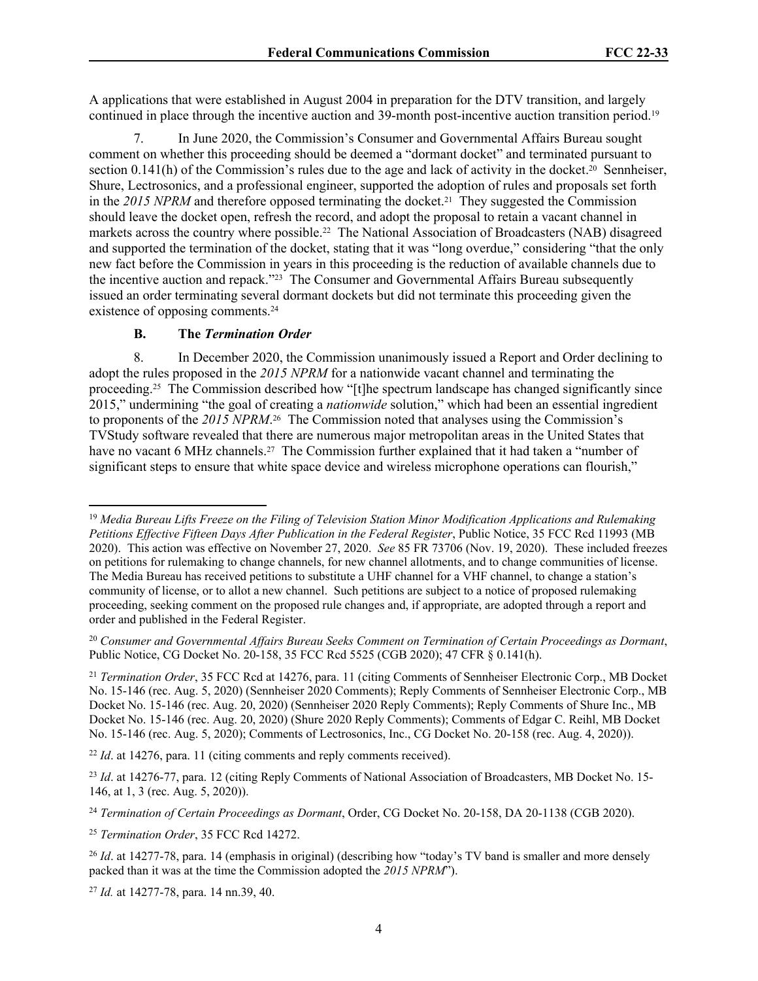A applications that were established in August 2004 in preparation for the DTV transition, and largely continued in place through the incentive auction and 39-month post-incentive auction transition period.<sup>19</sup>

7. In June 2020, the Commission's Consumer and Governmental Affairs Bureau sought comment on whether this proceeding should be deemed a "dormant docket" and terminated pursuant to section 0.141(h) of the Commission's rules due to the age and lack of activity in the docket.<sup>20</sup> Sennheiser, Shure, Lectrosonics, and a professional engineer, supported the adoption of rules and proposals set forth in the 2015 NPRM and therefore opposed terminating the docket.<sup>21</sup> They suggested the Commission should leave the docket open, refresh the record, and adopt the proposal to retain a vacant channel in markets across the country where possible.<sup>22</sup> The National Association of Broadcasters (NAB) disagreed and supported the termination of the docket, stating that it was "long overdue," considering "that the only new fact before the Commission in years in this proceeding is the reduction of available channels due to the incentive auction and repack."23 The Consumer and Governmental Affairs Bureau subsequently issued an order terminating several dormant dockets but did not terminate this proceeding given the existence of opposing comments.<sup>24</sup>

#### **B. The** *Termination Order*

8. In December 2020, the Commission unanimously issued a Report and Order declining to adopt the rules proposed in the *2015 NPRM* for a nationwide vacant channel and terminating the proceeding.25 The Commission described how "[t]he spectrum landscape has changed significantly since 2015," undermining "the goal of creating a *nationwide* solution," which had been an essential ingredient to proponents of the 2015 NPRM.<sup>26</sup> The Commission noted that analyses using the Commission's TVStudy software revealed that there are numerous major metropolitan areas in the United States that have no vacant 6 MHz channels.<sup>27</sup> The Commission further explained that it had taken a "number of significant steps to ensure that white space device and wireless microphone operations can flourish,"

<sup>22</sup> *Id.* at 14276, para. 11 (citing comments and reply comments received).

<sup>25</sup> *Termination Order*, 35 FCC Rcd 14272.

<sup>27</sup> *Id.* at 14277-78, para. 14 nn.39, 40.

<sup>19</sup> *Media Bureau Lifts Freeze on the Filing of Television Station Minor Modification Applications and Rulemaking Petitions Effective Fifteen Days After Publication in the Federal Register*, Public Notice, 35 FCC Rcd 11993 (MB 2020). This action was effective on November 27, 2020. *See* 85 FR 73706 (Nov. 19, 2020). These included freezes on petitions for rulemaking to change channels, for new channel allotments, and to change communities of license. The Media Bureau has received petitions to substitute a UHF channel for a VHF channel, to change a station's community of license, or to allot a new channel. Such petitions are subject to a notice of proposed rulemaking proceeding, seeking comment on the proposed rule changes and, if appropriate, are adopted through a report and order and published in the Federal Register.

<sup>20</sup> *Consumer and Governmental Affairs Bureau Seeks Comment on Termination of Certain Proceedings as Dormant*, Public Notice, CG Docket No. 20-158, 35 FCC Rcd 5525 (CGB 2020); 47 CFR § 0.141(h).

<sup>21</sup> *Termination Order*, 35 FCC Rcd at 14276, para. 11 (citing Comments of Sennheiser Electronic Corp., MB Docket No. 15-146 (rec. Aug. 5, 2020) (Sennheiser 2020 Comments); Reply Comments of Sennheiser Electronic Corp., MB Docket No. 15-146 (rec. Aug. 20, 2020) (Sennheiser 2020 Reply Comments); Reply Comments of Shure Inc., MB Docket No. 15-146 (rec. Aug. 20, 2020) (Shure 2020 Reply Comments); Comments of Edgar C. Reihl, MB Docket No. 15-146 (rec. Aug. 5, 2020); Comments of Lectrosonics, Inc., CG Docket No. 20-158 (rec. Aug. 4, 2020)).

<sup>&</sup>lt;sup>23</sup> *Id.* at 14276-77, para. 12 (citing Reply Comments of National Association of Broadcasters, MB Docket No. 15-146, at 1, 3 (rec. Aug. 5, 2020)).

<sup>24</sup> *Termination of Certain Proceedings as Dormant*, Order, CG Docket No. 20-158, DA 20-1138 (CGB 2020).

<sup>&</sup>lt;sup>26</sup> *Id.* at 14277-78, para. 14 (emphasis in original) (describing how "today's TV band is smaller and more densely packed than it was at the time the Commission adopted the *2015 NPRM*").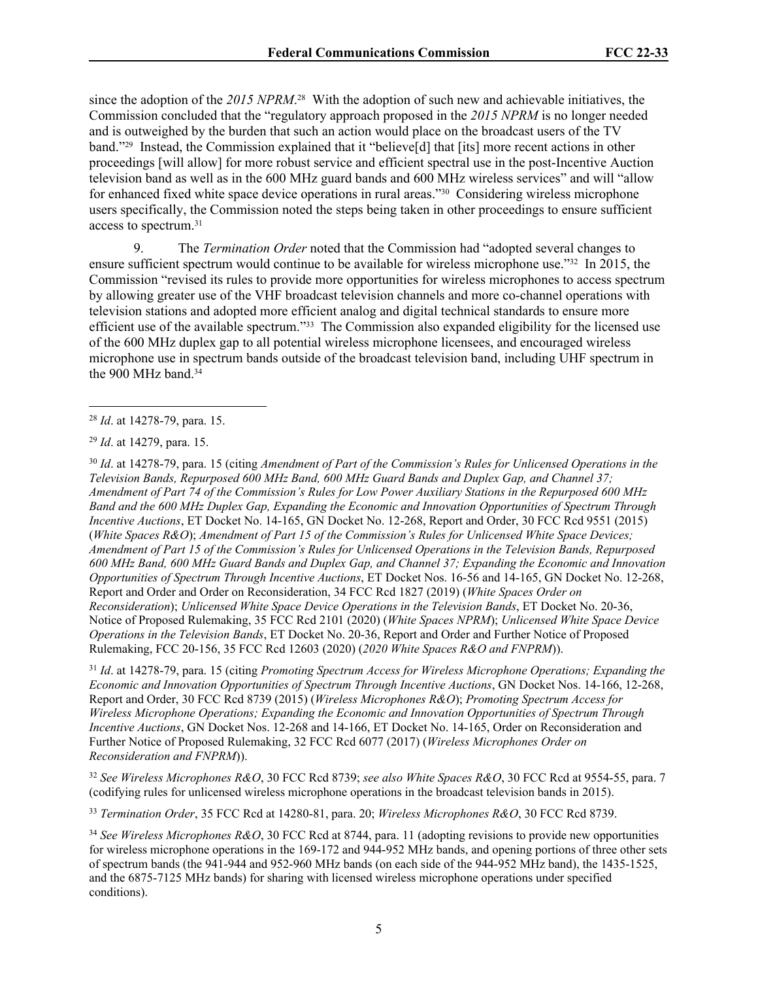since the adoption of the *2015 NPRM*. <sup>28</sup> With the adoption of such new and achievable initiatives, the Commission concluded that the "regulatory approach proposed in the *2015 NPRM* is no longer needed and is outweighed by the burden that such an action would place on the broadcast users of the TV band."29 Instead, the Commission explained that it "believe[d] that [its] more recent actions in other proceedings [will allow] for more robust service and efficient spectral use in the post-Incentive Auction television band as well as in the 600 MHz guard bands and 600 MHz wireless services" and will "allow for enhanced fixed white space device operations in rural areas."30 Considering wireless microphone users specifically, the Commission noted the steps being taken in other proceedings to ensure sufficient access to spectrum.<sup>31</sup>

9. The *Termination Order* noted that the Commission had "adopted several changes to ensure sufficient spectrum would continue to be available for wireless microphone use."32 In 2015, the Commission "revised its rules to provide more opportunities for wireless microphones to access spectrum by allowing greater use of the VHF broadcast television channels and more co-channel operations with television stations and adopted more efficient analog and digital technical standards to ensure more efficient use of the available spectrum."33 The Commission also expanded eligibility for the licensed use of the 600 MHz duplex gap to all potential wireless microphone licensees, and encouraged wireless microphone use in spectrum bands outside of the broadcast television band, including UHF spectrum in the 900 MHz band.<sup>34</sup>

<sup>30</sup> *Id*. at 14278-79, para. 15 (citing *Amendment of Part of the Commission's Rules for Unlicensed Operations in the Television Bands, Repurposed 600 MHz Band, 600 MHz Guard Bands and Duplex Gap, and Channel 37; Amendment of Part 74 of the Commission's Rules for Low Power Auxiliary Stations in the Repurposed 600 MHz Band and the 600 MHz Duplex Gap, Expanding the Economic and Innovation Opportunities of Spectrum Through Incentive Auctions*, ET Docket No. 14-165, GN Docket No. 12-268, Report and Order, 30 FCC Rcd 9551 (2015) (*White Spaces R&O*); *Amendment of Part 15 of the Commission's Rules for Unlicensed White Space Devices; Amendment of Part 15 of the Commission's Rules for Unlicensed Operations in the Television Bands, Repurposed 600 MHz Band, 600 MHz Guard Bands and Duplex Gap, and Channel 37; Expanding the Economic and Innovation Opportunities of Spectrum Through Incentive Auctions*, ET Docket Nos. 16-56 and 14-165, GN Docket No. 12-268, Report and Order and Order on Reconsideration, 34 FCC Rcd 1827 (2019) (*White Spaces Order on Reconsideration*); *Unlicensed White Space Device Operations in the Television Bands*, ET Docket No. 20-36, Notice of Proposed Rulemaking, 35 FCC Rcd 2101 (2020) (*White Spaces NPRM*); *Unlicensed White Space Device Operations in the Television Bands*, ET Docket No. 20-36, Report and Order and Further Notice of Proposed Rulemaking, FCC 20-156, 35 FCC Rcd 12603 (2020) (*2020 White Spaces R&O and FNPRM*)).

<sup>31</sup> *Id*. at 14278-79, para. 15 (citing *Promoting Spectrum Access for Wireless Microphone Operations; Expanding the Economic and Innovation Opportunities of Spectrum Through Incentive Auctions*, GN Docket Nos. 14-166, 12-268, Report and Order, 30 FCC Rcd 8739 (2015) (*Wireless Microphones R&O*); *Promoting Spectrum Access for Wireless Microphone Operations; Expanding the Economic and Innovation Opportunities of Spectrum Through Incentive Auctions*, GN Docket Nos. 12-268 and 14-166, ET Docket No. 14-165, Order on Reconsideration and Further Notice of Proposed Rulemaking, 32 FCC Rcd 6077 (2017) (*Wireless Microphones Order on Reconsideration and FNPRM*)).

<sup>32</sup> *See Wireless Microphones R&O*, 30 FCC Rcd 8739; *see also White Spaces R&O*, 30 FCC Rcd at 9554-55, para. 7 (codifying rules for unlicensed wireless microphone operations in the broadcast television bands in 2015).

<sup>33</sup> *Termination Order*, 35 FCC Rcd at 14280-81, para. 20; *Wireless Microphones R&O*, 30 FCC Rcd 8739.

<sup>28</sup> *Id*. at 14278-79, para. 15.

<sup>29</sup> *Id*. at 14279, para. 15.

<sup>34</sup> *See Wireless Microphones R&O*, 30 FCC Rcd at 8744, para. 11 (adopting revisions to provide new opportunities for wireless microphone operations in the 169-172 and 944-952 MHz bands, and opening portions of three other sets of spectrum bands (the 941-944 and 952-960 MHz bands (on each side of the 944-952 MHz band), the 1435-1525, and the 6875-7125 MHz bands) for sharing with licensed wireless microphone operations under specified conditions).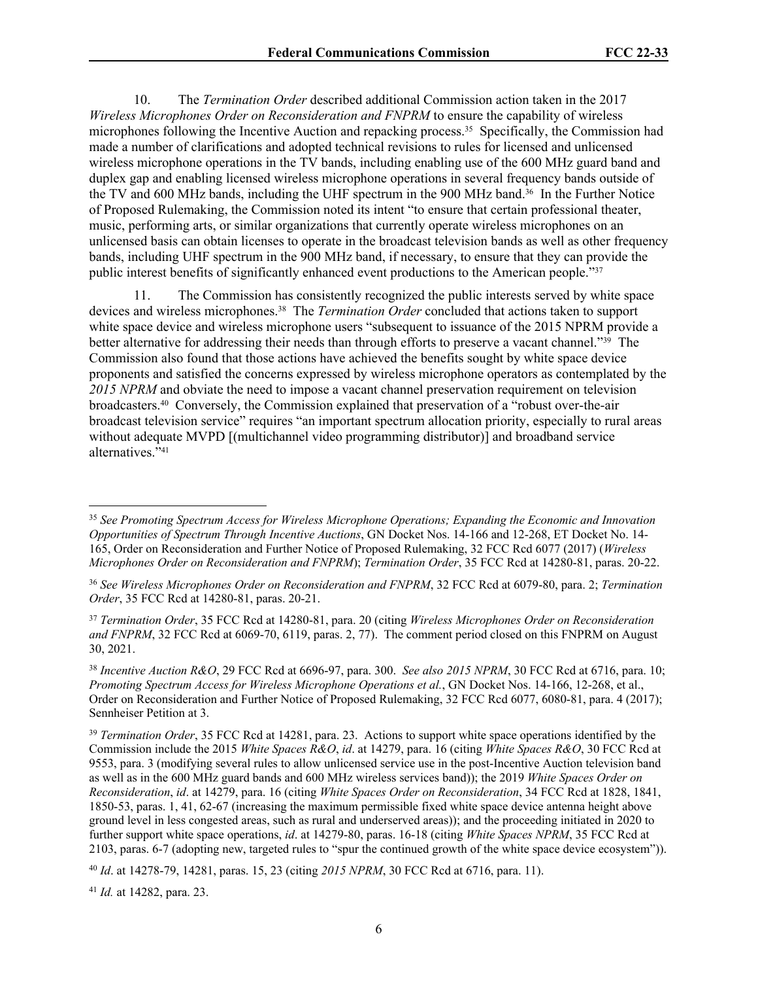10. The *Termination Order* described additional Commission action taken in the 2017 *Wireless Microphones Order on Reconsideration and FNPRM* to ensure the capability of wireless microphones following the Incentive Auction and repacking process.35 Specifically, the Commission had made a number of clarifications and adopted technical revisions to rules for licensed and unlicensed wireless microphone operations in the TV bands, including enabling use of the 600 MHz guard band and duplex gap and enabling licensed wireless microphone operations in several frequency bands outside of the TV and 600 MHz bands, including the UHF spectrum in the 900 MHz band.36 In the Further Notice of Proposed Rulemaking, the Commission noted its intent "to ensure that certain professional theater, music, performing arts, or similar organizations that currently operate wireless microphones on an unlicensed basis can obtain licenses to operate in the broadcast television bands as well as other frequency bands, including UHF spectrum in the 900 MHz band, if necessary, to ensure that they can provide the public interest benefits of significantly enhanced event productions to the American people."37

11. The Commission has consistently recognized the public interests served by white space devices and wireless microphones.38 The *Termination Order* concluded that actions taken to support white space device and wireless microphone users "subsequent to issuance of the 2015 NPRM provide a better alternative for addressing their needs than through efforts to preserve a vacant channel."39 The Commission also found that those actions have achieved the benefits sought by white space device proponents and satisfied the concerns expressed by wireless microphone operators as contemplated by the *2015 NPRM* and obviate the need to impose a vacant channel preservation requirement on television broadcasters.40 Conversely, the Commission explained that preservation of a "robust over-the-air broadcast television service" requires "an important spectrum allocation priority, especially to rural areas without adequate MVPD [(multichannel video programming distributor)] and broadband service alternatives."<sup>41</sup>

<sup>41</sup> *Id.* at 14282, para. 23.

<sup>35</sup> *See Promoting Spectrum Access for Wireless Microphone Operations; Expanding the Economic and Innovation Opportunities of Spectrum Through Incentive Auctions*, GN Docket Nos. 14-166 and 12-268, ET Docket No. 14- 165, Order on Reconsideration and Further Notice of Proposed Rulemaking, 32 FCC Rcd 6077 (2017) (*Wireless Microphones Order on Reconsideration and FNPRM*); *Termination Order*, 35 FCC Rcd at 14280-81, paras. 20-22.

<sup>36</sup> *See Wireless Microphones Order on Reconsideration and FNPRM*, 32 FCC Rcd at 6079-80, para. 2; *Termination Order*, 35 FCC Rcd at 14280-81, paras. 20-21.

<sup>37</sup> *Termination Order*, 35 FCC Rcd at 14280-81, para. 20 (citing *Wireless Microphones Order on Reconsideration and FNPRM*, 32 FCC Rcd at 6069-70, 6119, paras. 2, 77). The comment period closed on this FNPRM on August 30, 2021.

<sup>38</sup> *Incentive Auction R&O*, 29 FCC Rcd at 6696-97, para. 300. *See also 2015 NPRM*, 30 FCC Rcd at 6716, para. 10; *Promoting Spectrum Access for Wireless Microphone Operations et al.*, GN Docket Nos. 14-166, 12-268, et al., Order on Reconsideration and Further Notice of Proposed Rulemaking, 32 FCC Rcd 6077, 6080-81, para. 4 (2017); Sennheiser Petition at 3.

<sup>39</sup> *Termination Order*, 35 FCC Rcd at 14281, para. 23. Actions to support white space operations identified by the Commission include the 2015 *White Spaces R&O*, *id*. at 14279, para. 16 (citing *White Spaces R&O*, 30 FCC Rcd at 9553, para. 3 (modifying several rules to allow unlicensed service use in the post-Incentive Auction television band as well as in the 600 MHz guard bands and 600 MHz wireless services band)); the 2019 *White Spaces Order on Reconsideration*, *id*. at 14279, para. 16 (citing *White Spaces Order on Reconsideration*, 34 FCC Rcd at 1828, 1841, 1850-53, paras. 1, 41, 62-67 (increasing the maximum permissible fixed white space device antenna height above ground level in less congested areas, such as rural and underserved areas)); and the proceeding initiated in 2020 to further support white space operations, *id*. at 14279-80, paras. 16-18 (citing *White Spaces NPRM*, 35 FCC Rcd at 2103, paras. 6-7 (adopting new, targeted rules to "spur the continued growth of the white space device ecosystem")).

<sup>40</sup> *Id*. at 14278-79, 14281, paras. 15, 23 (citing *2015 NPRM*, 30 FCC Rcd at 6716, para. 11).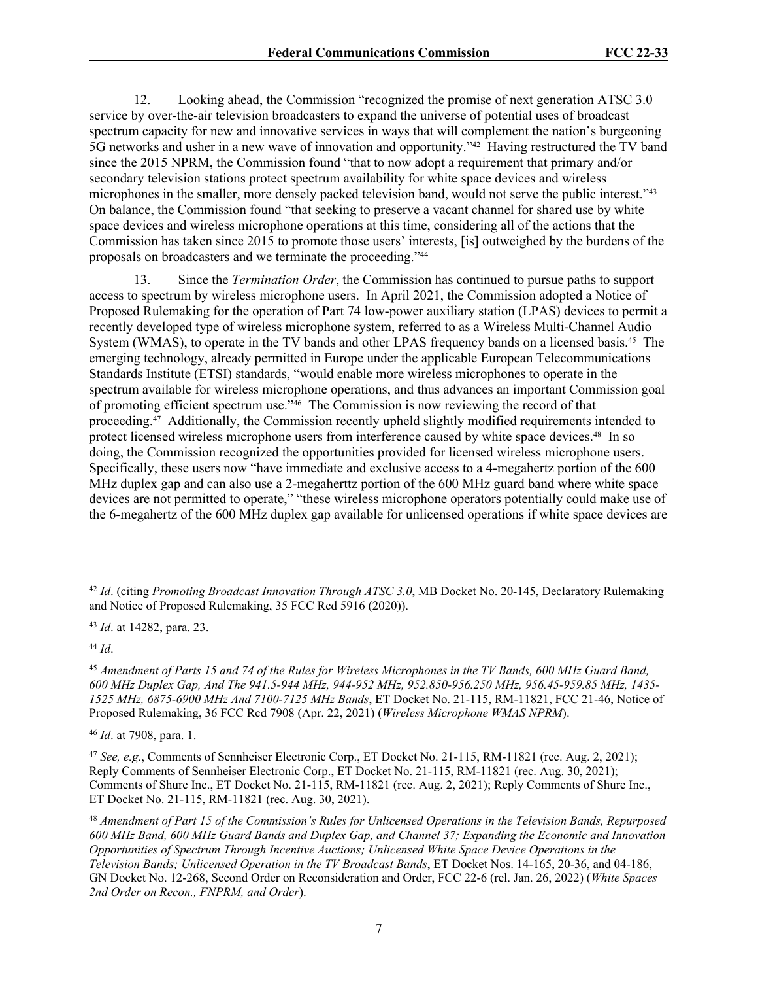12. Looking ahead, the Commission "recognized the promise of next generation ATSC 3.0 service by over-the-air television broadcasters to expand the universe of potential uses of broadcast spectrum capacity for new and innovative services in ways that will complement the nation's burgeoning 5G networks and usher in a new wave of innovation and opportunity."42 Having restructured the TV band since the 2015 NPRM, the Commission found "that to now adopt a requirement that primary and/or secondary television stations protect spectrum availability for white space devices and wireless microphones in the smaller, more densely packed television band, would not serve the public interest."<sup>43</sup> On balance, the Commission found "that seeking to preserve a vacant channel for shared use by white space devices and wireless microphone operations at this time, considering all of the actions that the Commission has taken since 2015 to promote those users' interests, [is] outweighed by the burdens of the proposals on broadcasters and we terminate the proceeding."<sup>44</sup>

13. Since the *Termination Order*, the Commission has continued to pursue paths to support access to spectrum by wireless microphone users. In April 2021, the Commission adopted a Notice of Proposed Rulemaking for the operation of Part 74 low-power auxiliary station (LPAS) devices to permit a recently developed type of wireless microphone system, referred to as a Wireless Multi-Channel Audio System (WMAS), to operate in the TV bands and other LPAS frequency bands on a licensed basis.<sup>45</sup> The emerging technology, already permitted in Europe under the applicable European Telecommunications Standards Institute (ETSI) standards, "would enable more wireless microphones to operate in the spectrum available for wireless microphone operations, and thus advances an important Commission goal of promoting efficient spectrum use."46 The Commission is now reviewing the record of that proceeding.47 Additionally, the Commission recently upheld slightly modified requirements intended to protect licensed wireless microphone users from interference caused by white space devices.48 In so doing, the Commission recognized the opportunities provided for licensed wireless microphone users. Specifically, these users now "have immediate and exclusive access to a 4-megahertz portion of the 600 MHz duplex gap and can also use a 2-megaherttz portion of the 600 MHz guard band where white space devices are not permitted to operate," "these wireless microphone operators potentially could make use of the 6-megahertz of the 600 MHz duplex gap available for unlicensed operations if white space devices are

<sup>44</sup> *Id*.

<sup>42</sup> *Id*. (citing *Promoting Broadcast Innovation Through ATSC 3.0*, MB Docket No. 20-145, Declaratory Rulemaking and Notice of Proposed Rulemaking, 35 FCC Rcd 5916 (2020)).

<sup>43</sup> *Id*. at 14282, para. 23.

<sup>45</sup> *Amendment of Parts 15 and 74 of the Rules for Wireless Microphones in the TV Bands, 600 MHz Guard Band, 600 MHz Duplex Gap, And The 941.5-944 MHz, 944-952 MHz, 952.850-956.250 MHz, 956.45-959.85 MHz, 1435- 1525 MHz, 6875-6900 MHz And 7100-7125 MHz Bands*, ET Docket No. 21-115, RM-11821, FCC 21-46, Notice of Proposed Rulemaking, 36 FCC Rcd 7908 (Apr. 22, 2021) (*Wireless Microphone WMAS NPRM*).

<sup>46</sup> *Id*. at 7908, para. 1.

<sup>47</sup> *See, e.g.*, Comments of Sennheiser Electronic Corp., ET Docket No. 21-115, RM-11821 (rec. Aug. 2, 2021); Reply Comments of Sennheiser Electronic Corp., ET Docket No. 21-115, RM-11821 (rec. Aug. 30, 2021); Comments of Shure Inc., ET Docket No. 21-115, RM-11821 (rec. Aug. 2, 2021); Reply Comments of Shure Inc., ET Docket No. 21-115, RM-11821 (rec. Aug. 30, 2021).

<sup>48</sup> *Amendment of Part 15 of the Commission's Rules for Unlicensed Operations in the Television Bands, Repurposed 600 MHz Band, 600 MHz Guard Bands and Duplex Gap, and Channel 37; Expanding the Economic and Innovation Opportunities of Spectrum Through Incentive Auctions; Unlicensed White Space Device Operations in the Television Bands; Unlicensed Operation in the TV Broadcast Bands*, ET Docket Nos. 14-165, 20-36, and 04-186, GN Docket No. 12-268, Second Order on Reconsideration and Order, FCC 22-6 (rel. Jan. 26, 2022) (*White Spaces 2nd Order on Recon., FNPRM, and Order*).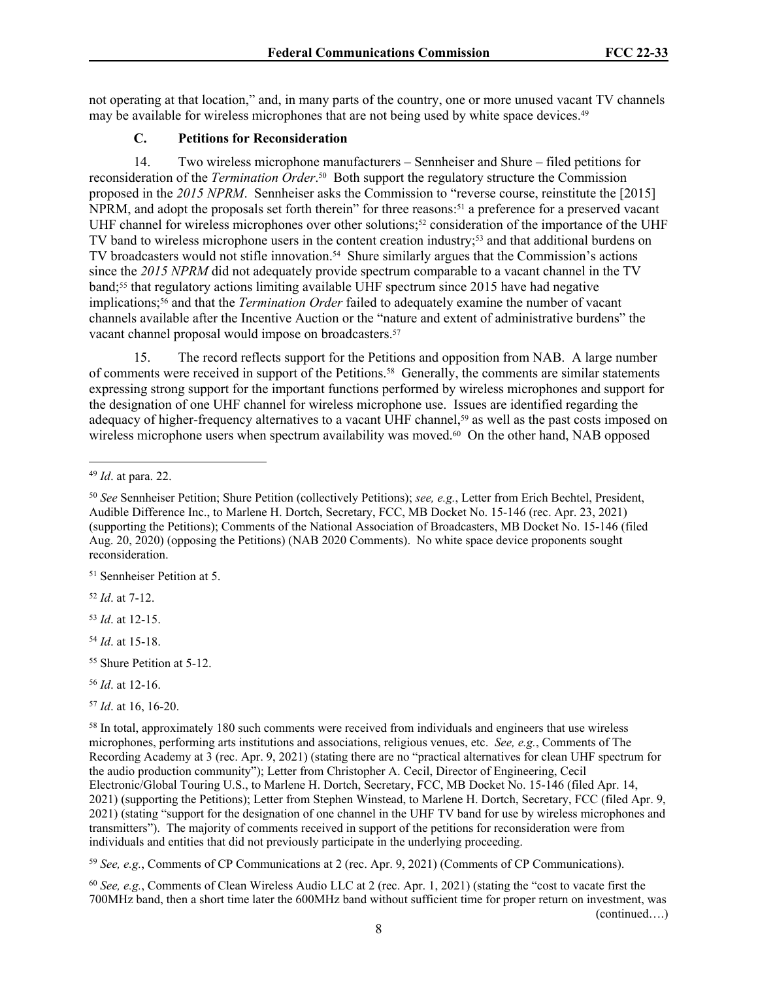not operating at that location," and, in many parts of the country, one or more unused vacant TV channels may be available for wireless microphones that are not being used by white space devices.<sup>49</sup>

#### **C. Petitions for Reconsideration**

14. Two wireless microphone manufacturers – Sennheiser and Shure – filed petitions for reconsideration of the *Termination Order*. <sup>50</sup> Both support the regulatory structure the Commission proposed in the *2015 NPRM*. Sennheiser asks the Commission to "reverse course, reinstitute the [2015] NPRM, and adopt the proposals set forth therein" for three reasons:<sup>51</sup> a preference for a preserved vacant UHF channel for wireless microphones over other solutions;<sup>52</sup> consideration of the importance of the UHF TV band to wireless microphone users in the content creation industry;53 and that additional burdens on TV broadcasters would not stifle innovation.<sup>54</sup> Shure similarly argues that the Commission's actions since the *2015 NPRM* did not adequately provide spectrum comparable to a vacant channel in the TV band;<sup>55</sup> that regulatory actions limiting available UHF spectrum since 2015 have had negative implications;56 and that the *Termination Order* failed to adequately examine the number of vacant channels available after the Incentive Auction or the "nature and extent of administrative burdens" the vacant channel proposal would impose on broadcasters.<sup>57</sup>

15. The record reflects support for the Petitions and opposition from NAB. A large number of comments were received in support of the Petitions.58 Generally, the comments are similar statements expressing strong support for the important functions performed by wireless microphones and support for the designation of one UHF channel for wireless microphone use. Issues are identified regarding the adequacy of higher-frequency alternatives to a vacant UHF channel,<sup>59</sup> as well as the past costs imposed on wireless microphone users when spectrum availability was moved.<sup>60</sup> On the other hand, NAB opposed

<sup>51</sup> Sennheiser Petition at 5.

<sup>52</sup> *Id*. at 7-12.

<sup>53</sup> *Id*. at 12-15.

<sup>54</sup> *Id*. at 15-18.

<sup>55</sup> Shure Petition at 5-12.

<sup>57</sup> *Id*. at 16, 16-20.

<sup>59</sup> *See, e.g.*, Comments of CP Communications at 2 (rec. Apr. 9, 2021) (Comments of CP Communications).

<sup>60</sup> *See, e.g.*, Comments of Clean Wireless Audio LLC at 2 (rec. Apr. 1, 2021) (stating the "cost to vacate first the 700MHz band, then a short time later the 600MHz band without sufficient time for proper return on investment, was (continued….)

<sup>49</sup> *Id*. at para. 22.

<sup>50</sup> *See* Sennheiser Petition; Shure Petition (collectively Petitions); *see, e.g.*, Letter from Erich Bechtel, President, Audible Difference Inc., to Marlene H. Dortch, Secretary, FCC, MB Docket No. 15-146 (rec. Apr. 23, 2021) (supporting the Petitions); Comments of the National Association of Broadcasters, MB Docket No. 15-146 (filed Aug. 20, 2020) (opposing the Petitions) (NAB 2020 Comments). No white space device proponents sought reconsideration.

<sup>56</sup> *Id*. at 12-16.

<sup>&</sup>lt;sup>58</sup> In total, approximately 180 such comments were received from individuals and engineers that use wireless microphones, performing arts institutions and associations, religious venues, etc. *See, e.g.*, Comments of The Recording Academy at 3 (rec. Apr. 9, 2021) (stating there are no "practical alternatives for clean UHF spectrum for the audio production community"); Letter from Christopher A. Cecil, Director of Engineering, Cecil Electronic/Global Touring U.S., to Marlene H. Dortch, Secretary, FCC, MB Docket No. 15-146 (filed Apr. 14, 2021) (supporting the Petitions); Letter from Stephen Winstead, to Marlene H. Dortch, Secretary, FCC (filed Apr. 9, 2021) (stating "support for the designation of one channel in the UHF TV band for use by wireless microphones and transmitters"). The majority of comments received in support of the petitions for reconsideration were from individuals and entities that did not previously participate in the underlying proceeding.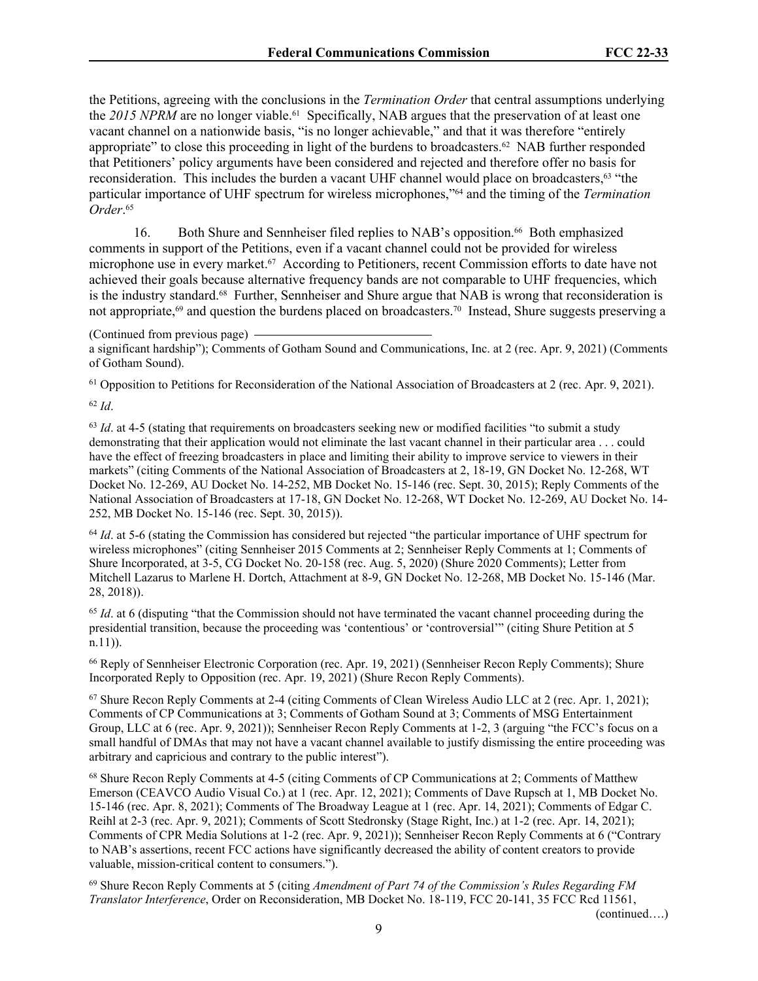the Petitions, agreeing with the conclusions in the *Termination Order* that central assumptions underlying the 2015 NPRM are no longer viable.<sup>61</sup> Specifically, NAB argues that the preservation of at least one vacant channel on a nationwide basis, "is no longer achievable," and that it was therefore "entirely appropriate" to close this proceeding in light of the burdens to broadcasters.<sup>62</sup> NAB further responded that Petitioners' policy arguments have been considered and rejected and therefore offer no basis for reconsideration. This includes the burden a vacant UHF channel would place on broadcasters,<sup>63</sup> "the particular importance of UHF spectrum for wireless microphones,"64 and the timing of the *Termination Order*. 65

16. Both Shure and Sennheiser filed replies to NAB's opposition.66 Both emphasized comments in support of the Petitions, even if a vacant channel could not be provided for wireless microphone use in every market.67 According to Petitioners, recent Commission efforts to date have not achieved their goals because alternative frequency bands are not comparable to UHF frequencies, which is the industry standard.68 Further, Sennheiser and Shure argue that NAB is wrong that reconsideration is not appropriate,69 and question the burdens placed on broadcasters.70 Instead, Shure suggests preserving a

#### (Continued from previous page)

a significant hardship"); Comments of Gotham Sound and Communications, Inc. at 2 (rec. Apr. 9, 2021) (Comments of Gotham Sound).

<sup>61</sup> Opposition to Petitions for Reconsideration of the National Association of Broadcasters at 2 (rec. Apr. 9, 2021).

<sup>62</sup> *Id*.

<sup>63</sup> *Id.* at 4-5 (stating that requirements on broadcasters seeking new or modified facilities "to submit a study demonstrating that their application would not eliminate the last vacant channel in their particular area . . . could have the effect of freezing broadcasters in place and limiting their ability to improve service to viewers in their markets" (citing Comments of the National Association of Broadcasters at 2, 18-19, GN Docket No. 12-268, WT Docket No. 12-269, AU Docket No. 14-252, MB Docket No. 15-146 (rec. Sept. 30, 2015); Reply Comments of the National Association of Broadcasters at 17-18, GN Docket No. 12-268, WT Docket No. 12-269, AU Docket No. 14- 252, MB Docket No. 15-146 (rec. Sept. 30, 2015)).

<sup>64</sup> *Id.* at 5-6 (stating the Commission has considered but rejected "the particular importance of UHF spectrum for wireless microphones" (citing Sennheiser 2015 Comments at 2; Sennheiser Reply Comments at 1; Comments of Shure Incorporated, at 3-5, CG Docket No. 20-158 (rec. Aug. 5, 2020) (Shure 2020 Comments); Letter from Mitchell Lazarus to Marlene H. Dortch, Attachment at 8-9, GN Docket No. 12-268, MB Docket No. 15-146 (Mar. 28, 2018)).

<sup>65</sup> *Id.* at 6 (disputing "that the Commission should not have terminated the vacant channel proceeding during the presidential transition, because the proceeding was 'contentious' or 'controversial'" (citing Shure Petition at 5 n.11)).

<sup>66</sup> Reply of Sennheiser Electronic Corporation (rec. Apr. 19, 2021) (Sennheiser Recon Reply Comments); Shure Incorporated Reply to Opposition (rec. Apr. 19, 2021) (Shure Recon Reply Comments).

<sup>67</sup> Shure Recon Reply Comments at 2-4 (citing Comments of Clean Wireless Audio LLC at 2 (rec. Apr. 1, 2021); Comments of CP Communications at 3; Comments of Gotham Sound at 3; Comments of MSG Entertainment Group, LLC at 6 (rec. Apr. 9, 2021)); Sennheiser Recon Reply Comments at 1-2, 3 (arguing "the FCC's focus on a small handful of DMAs that may not have a vacant channel available to justify dismissing the entire proceeding was arbitrary and capricious and contrary to the public interest").

<sup>68</sup> Shure Recon Reply Comments at 4-5 (citing Comments of CP Communications at 2; Comments of Matthew Emerson (CEAVCO Audio Visual Co.) at 1 (rec. Apr. 12, 2021); Comments of Dave Rupsch at 1, MB Docket No. 15-146 (rec. Apr. 8, 2021); Comments of The Broadway League at 1 (rec. Apr. 14, 2021); Comments of Edgar C. Reihl at 2-3 (rec. Apr. 9, 2021); Comments of Scott Stedronsky (Stage Right, Inc.) at 1-2 (rec. Apr. 14, 2021); Comments of CPR Media Solutions at 1-2 (rec. Apr. 9, 2021)); Sennheiser Recon Reply Comments at 6 ("Contrary to NAB's assertions, recent FCC actions have significantly decreased the ability of content creators to provide valuable, mission-critical content to consumers.").

<sup>69</sup> Shure Recon Reply Comments at 5 (citing *Amendment of Part 74 of the Commission's Rules Regarding FM Translator Interference*, Order on Reconsideration, MB Docket No. 18-119, FCC 20-141, 35 FCC Rcd 11561,

(continued….)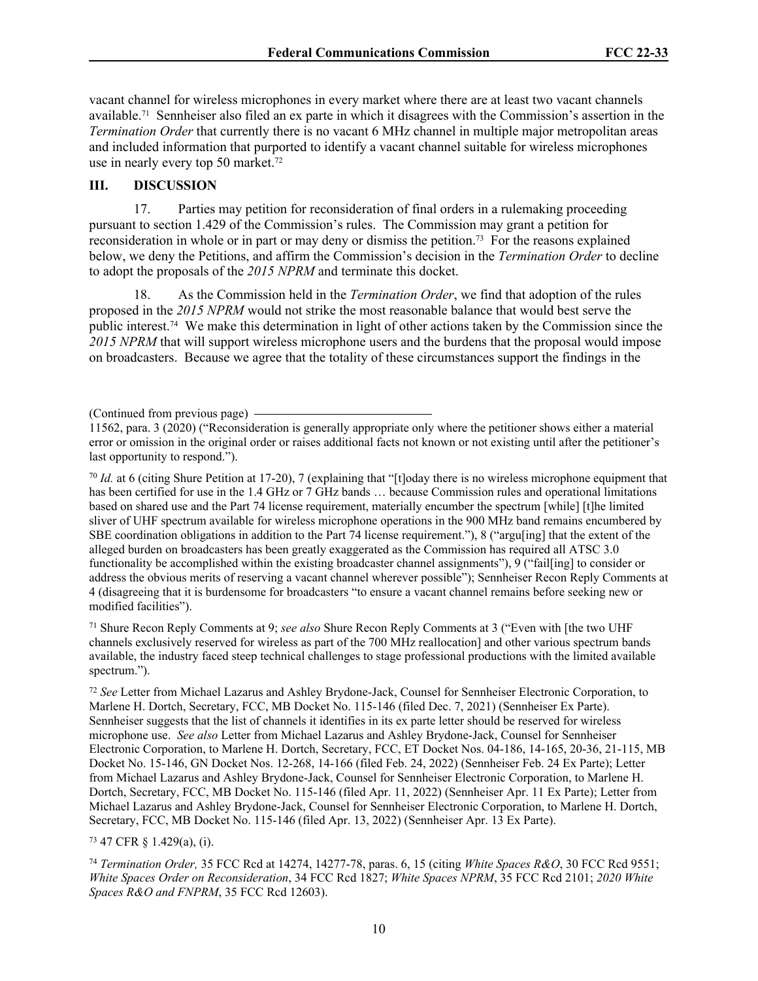vacant channel for wireless microphones in every market where there are at least two vacant channels available.71 Sennheiser also filed an ex parte in which it disagrees with the Commission's assertion in the *Termination Order* that currently there is no vacant 6 MHz channel in multiple major metropolitan areas and included information that purported to identify a vacant channel suitable for wireless microphones use in nearly every top 50 market.<sup>72</sup>

# **III. DISCUSSION**

17. Parties may petition for reconsideration of final orders in a rulemaking proceeding pursuant to section 1.429 of the Commission's rules. The Commission may grant a petition for reconsideration in whole or in part or may deny or dismiss the petition.73 For the reasons explained below, we deny the Petitions, and affirm the Commission's decision in the *Termination Order* to decline to adopt the proposals of the *2015 NPRM* and terminate this docket.

18. As the Commission held in the *Termination Order*, we find that adoption of the rules proposed in the *2015 NPRM* would not strike the most reasonable balance that would best serve the public interest.74 We make this determination in light of other actions taken by the Commission since the *2015 NPRM* that will support wireless microphone users and the burdens that the proposal would impose on broadcasters. Because we agree that the totality of these circumstances support the findings in the

<sup>70</sup> *Id.* at 6 (citing Shure Petition at 17-20), 7 (explaining that "[t]oday there is no wireless microphone equipment that has been certified for use in the 1.4 GHz or 7 GHz bands ... because Commission rules and operational limitations based on shared use and the Part 74 license requirement, materially encumber the spectrum [while] [t]he limited sliver of UHF spectrum available for wireless microphone operations in the 900 MHz band remains encumbered by SBE coordination obligations in addition to the Part 74 license requirement."), 8 ("argu[ing] that the extent of the alleged burden on broadcasters has been greatly exaggerated as the Commission has required all ATSC 3.0 functionality be accomplished within the existing broadcaster channel assignments"), 9 ("fail[ing] to consider or address the obvious merits of reserving a vacant channel wherever possible"); Sennheiser Recon Reply Comments at 4 (disagreeing that it is burdensome for broadcasters "to ensure a vacant channel remains before seeking new or modified facilities").

<sup>71</sup> Shure Recon Reply Comments at 9; *see also* Shure Recon Reply Comments at 3 ("Even with [the two UHF channels exclusively reserved for wireless as part of the 700 MHz reallocation] and other various spectrum bands available, the industry faced steep technical challenges to stage professional productions with the limited available spectrum.").

<sup>72</sup> *See* Letter from Michael Lazarus and Ashley Brydone-Jack, Counsel for Sennheiser Electronic Corporation, to Marlene H. Dortch, Secretary, FCC, MB Docket No. 115-146 (filed Dec. 7, 2021) (Sennheiser Ex Parte). Sennheiser suggests that the list of channels it identifies in its ex parte letter should be reserved for wireless microphone use. *See also* Letter from Michael Lazarus and Ashley Brydone-Jack, Counsel for Sennheiser Electronic Corporation, to Marlene H. Dortch, Secretary, FCC, ET Docket Nos. 04-186, 14-165, 20-36, 21-115, MB Docket No. 15-146, GN Docket Nos. 12-268, 14-166 (filed Feb. 24, 2022) (Sennheiser Feb. 24 Ex Parte); Letter from Michael Lazarus and Ashley Brydone-Jack, Counsel for Sennheiser Electronic Corporation, to Marlene H. Dortch, Secretary, FCC, MB Docket No. 115-146 (filed Apr. 11, 2022) (Sennheiser Apr. 11 Ex Parte); Letter from Michael Lazarus and Ashley Brydone-Jack, Counsel for Sennheiser Electronic Corporation, to Marlene H. Dortch, Secretary, FCC, MB Docket No. 115-146 (filed Apr. 13, 2022) (Sennheiser Apr. 13 Ex Parte).

<sup>73</sup> 47 CFR § 1.429(a), (i).

<sup>74</sup> *Termination Order,* 35 FCC Rcd at 14274, 14277-78, paras. 6, 15 (citing *White Spaces R&O*, 30 FCC Rcd 9551; *White Spaces Order on Reconsideration*, 34 FCC Rcd 1827; *White Spaces NPRM*, 35 FCC Rcd 2101; *2020 White Spaces R&O and FNPRM*, 35 FCC Rcd 12603).

<sup>(</sup>Continued from previous page)

<sup>11562,</sup> para. 3 (2020) ("Reconsideration is generally appropriate only where the petitioner shows either a material error or omission in the original order or raises additional facts not known or not existing until after the petitioner's last opportunity to respond.").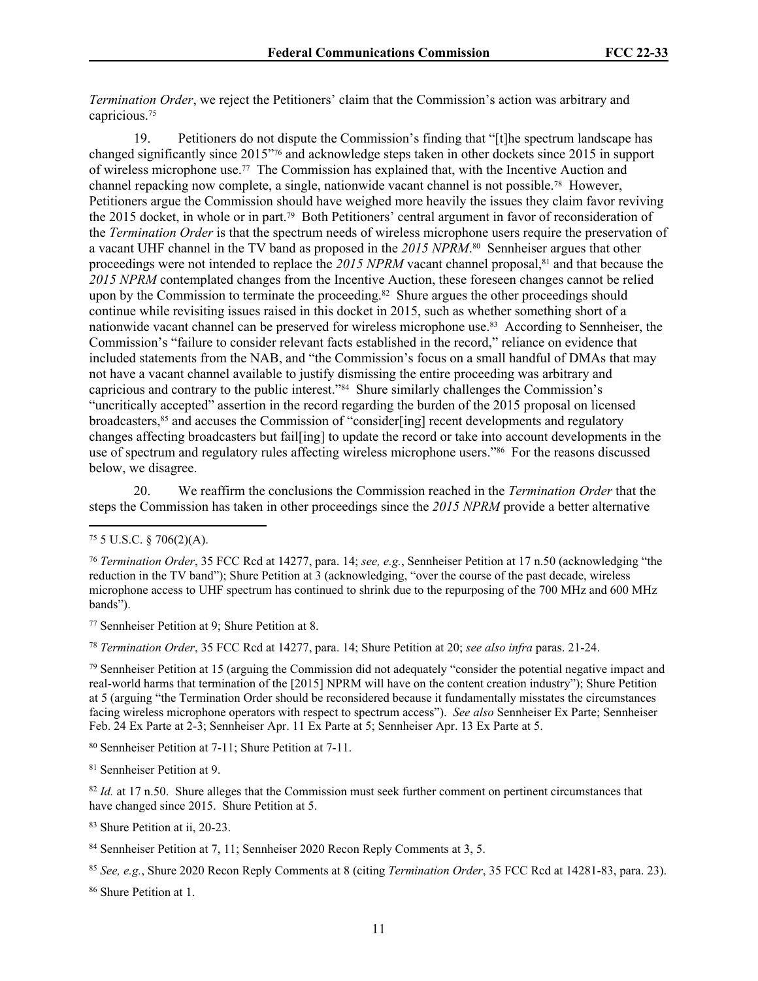*Termination Order*, we reject the Petitioners' claim that the Commission's action was arbitrary and capricious.<sup>75</sup>

19. Petitioners do not dispute the Commission's finding that "[t]he spectrum landscape has changed significantly since 2015"76 and acknowledge steps taken in other dockets since 2015 in support of wireless microphone use.77 The Commission has explained that, with the Incentive Auction and channel repacking now complete, a single, nationwide vacant channel is not possible.78 However, Petitioners argue the Commission should have weighed more heavily the issues they claim favor reviving the 2015 docket, in whole or in part.79 Both Petitioners' central argument in favor of reconsideration of the *Termination Order* is that the spectrum needs of wireless microphone users require the preservation of a vacant UHF channel in the TV band as proposed in the *2015 NPRM*. <sup>80</sup> Sennheiser argues that other proceedings were not intended to replace the 2015 NPRM vacant channel proposal,<sup>81</sup> and that because the *2015 NPRM* contemplated changes from the Incentive Auction, these foreseen changes cannot be relied upon by the Commission to terminate the proceeding.<sup>82</sup> Shure argues the other proceedings should continue while revisiting issues raised in this docket in 2015, such as whether something short of a nationwide vacant channel can be preserved for wireless microphone use.<sup>83</sup> According to Sennheiser, the Commission's "failure to consider relevant facts established in the record," reliance on evidence that included statements from the NAB, and "the Commission's focus on a small handful of DMAs that may not have a vacant channel available to justify dismissing the entire proceeding was arbitrary and capricious and contrary to the public interest."84 Shure similarly challenges the Commission's "uncritically accepted" assertion in the record regarding the burden of the 2015 proposal on licensed broadcasters,<sup>85</sup> and accuses the Commission of "consider[ing] recent developments and regulatory changes affecting broadcasters but fail[ing] to update the record or take into account developments in the use of spectrum and regulatory rules affecting wireless microphone users."<sup>86</sup> For the reasons discussed below, we disagree.

20. We reaffirm the conclusions the Commission reached in the *Termination Order* that the steps the Commission has taken in other proceedings since the *2015 NPRM* provide a better alternative

<sup>77</sup> Sennheiser Petition at 9; Shure Petition at 8.

<sup>78</sup> *Termination Order*, 35 FCC Rcd at 14277, para. 14; Shure Petition at 20; *see also infra* paras. 21-24.

<sup>79</sup> Sennheiser Petition at 15 (arguing the Commission did not adequately "consider the potential negative impact and real-world harms that termination of the [2015] NPRM will have on the content creation industry"); Shure Petition at 5 (arguing "the Termination Order should be reconsidered because it fundamentally misstates the circumstances facing wireless microphone operators with respect to spectrum access"). *See also* Sennheiser Ex Parte; Sennheiser Feb. 24 Ex Parte at 2-3; Sennheiser Apr. 11 Ex Parte at 5; Sennheiser Apr. 13 Ex Parte at 5.

<sup>83</sup> Shure Petition at ii, 20-23.

86 Shure Petition at 1.

<sup>75</sup> 5 U.S.C. § 706(2)(A).

<sup>76</sup> *Termination Order*, 35 FCC Rcd at 14277, para. 14; *see, e.g.*, Sennheiser Petition at 17 n.50 (acknowledging "the reduction in the TV band"); Shure Petition at 3 (acknowledging, "over the course of the past decade, wireless microphone access to UHF spectrum has continued to shrink due to the repurposing of the 700 MHz and 600 MHz bands").

<sup>80</sup> Sennheiser Petition at 7-11; Shure Petition at 7-11.

<sup>81</sup> Sennheiser Petition at 9.

<sup>&</sup>lt;sup>82</sup> *Id.* at 17 n.50. Shure alleges that the Commission must seek further comment on pertinent circumstances that have changed since 2015. Shure Petition at 5.

<sup>84</sup> Sennheiser Petition at 7, 11; Sennheiser 2020 Recon Reply Comments at 3, 5.

<sup>85</sup> *See, e.g.*, Shure 2020 Recon Reply Comments at 8 (citing *Termination Order*, 35 FCC Rcd at 14281-83, para. 23).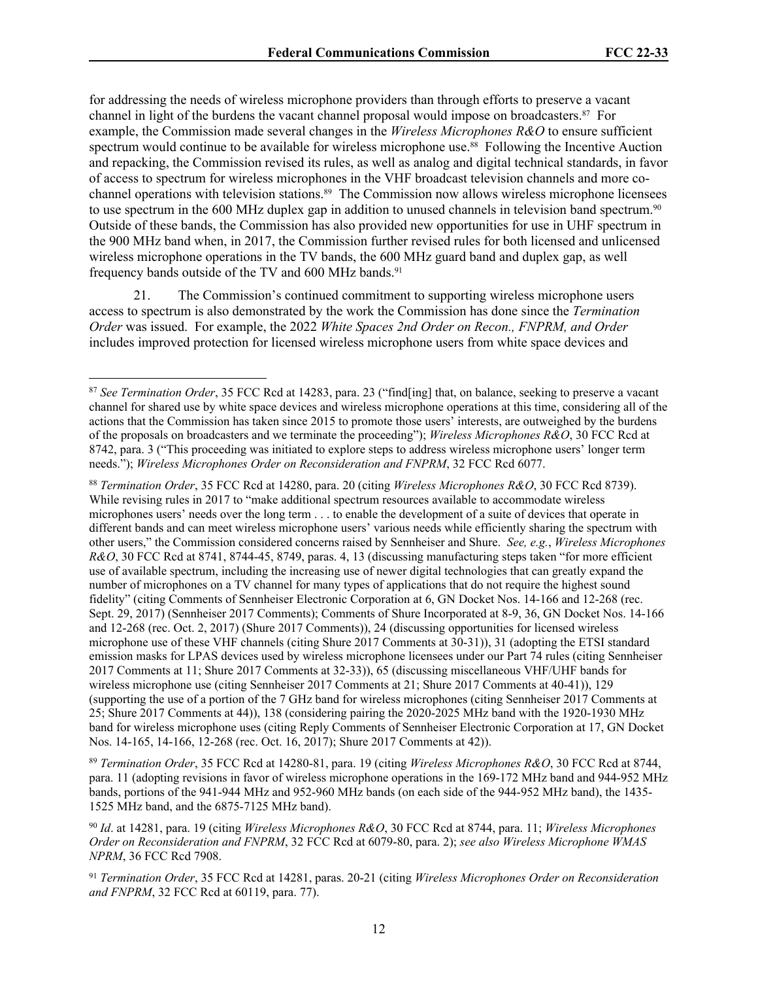for addressing the needs of wireless microphone providers than through efforts to preserve a vacant channel in light of the burdens the vacant channel proposal would impose on broadcasters.87 For example, the Commission made several changes in the *Wireless Microphones R&O* to ensure sufficient spectrum would continue to be available for wireless microphone use.<sup>88</sup> Following the Incentive Auction and repacking, the Commission revised its rules, as well as analog and digital technical standards, in favor of access to spectrum for wireless microphones in the VHF broadcast television channels and more cochannel operations with television stations.89 The Commission now allows wireless microphone licensees to use spectrum in the 600 MHz duplex gap in addition to unused channels in television band spectrum.<sup>90</sup> Outside of these bands, the Commission has also provided new opportunities for use in UHF spectrum in the 900 MHz band when, in 2017, the Commission further revised rules for both licensed and unlicensed wireless microphone operations in the TV bands, the 600 MHz guard band and duplex gap, as well frequency bands outside of the TV and 600 MHz bands.<sup>91</sup>

21. The Commission's continued commitment to supporting wireless microphone users access to spectrum is also demonstrated by the work the Commission has done since the *Termination Order* was issued. For example, the 2022 *White Spaces 2nd Order on Recon., FNPRM, and Order* includes improved protection for licensed wireless microphone users from white space devices and

<sup>89</sup> *Termination Order*, 35 FCC Rcd at 14280-81, para. 19 (citing *Wireless Microphones R&O*, 30 FCC Rcd at 8744, para. 11 (adopting revisions in favor of wireless microphone operations in the 169-172 MHz band and 944-952 MHz bands, portions of the 941-944 MHz and 952-960 MHz bands (on each side of the 944-952 MHz band), the 1435- 1525 MHz band, and the 6875-7125 MHz band).

<sup>87</sup> *See Termination Order*, 35 FCC Rcd at 14283, para. 23 ("find[ing] that, on balance, seeking to preserve a vacant channel for shared use by white space devices and wireless microphone operations at this time, considering all of the actions that the Commission has taken since 2015 to promote those users' interests, are outweighed by the burdens of the proposals on broadcasters and we terminate the proceeding"); *Wireless Microphones R&O*, 30 FCC Rcd at 8742, para. 3 ("This proceeding was initiated to explore steps to address wireless microphone users' longer term needs."); *Wireless Microphones Order on Reconsideration and FNPRM*, 32 FCC Rcd 6077.

<sup>88</sup> *Termination Order*, 35 FCC Rcd at 14280, para. 20 (citing *Wireless Microphones R&O*, 30 FCC Rcd 8739). While revising rules in 2017 to "make additional spectrum resources available to accommodate wireless microphones users' needs over the long term . . . to enable the development of a suite of devices that operate in different bands and can meet wireless microphone users' various needs while efficiently sharing the spectrum with other users," the Commission considered concerns raised by Sennheiser and Shure. *See, e.g.*, *Wireless Microphones R&O*, 30 FCC Rcd at 8741, 8744-45, 8749, paras. 4, 13 (discussing manufacturing steps taken "for more efficient use of available spectrum, including the increasing use of newer digital technologies that can greatly expand the number of microphones on a TV channel for many types of applications that do not require the highest sound fidelity" (citing Comments of Sennheiser Electronic Corporation at 6, GN Docket Nos. 14-166 and 12-268 (rec. Sept. 29, 2017) (Sennheiser 2017 Comments); Comments of Shure Incorporated at 8-9, 36, GN Docket Nos. 14-166 and 12-268 (rec. Oct. 2, 2017) (Shure 2017 Comments)), 24 (discussing opportunities for licensed wireless microphone use of these VHF channels (citing Shure 2017 Comments at 30-31)), 31 (adopting the ETSI standard emission masks for LPAS devices used by wireless microphone licensees under our Part 74 rules (citing Sennheiser 2017 Comments at 11; Shure 2017 Comments at 32-33)), 65 (discussing miscellaneous VHF/UHF bands for wireless microphone use (citing Sennheiser 2017 Comments at 21; Shure 2017 Comments at 40-41)), 129 (supporting the use of a portion of the 7 GHz band for wireless microphones (citing Sennheiser 2017 Comments at 25; Shure 2017 Comments at 44)), 138 (considering pairing the 2020-2025 MHz band with the 1920-1930 MHz band for wireless microphone uses (citing Reply Comments of Sennheiser Electronic Corporation at 17, GN Docket Nos. 14-165, 14-166, 12-268 (rec. Oct. 16, 2017); Shure 2017 Comments at 42)).

<sup>90</sup> *Id*. at 14281, para. 19 (citing *Wireless Microphones R&O*, 30 FCC Rcd at 8744, para. 11; *Wireless Microphones Order on Reconsideration and FNPRM*, 32 FCC Rcd at 6079-80, para. 2); *see also Wireless Microphone WMAS NPRM*, 36 FCC Rcd 7908.

<sup>91</sup> *Termination Order*, 35 FCC Rcd at 14281, paras. 20-21 (citing *Wireless Microphones Order on Reconsideration and FNPRM*, 32 FCC Rcd at 60119, para. 77).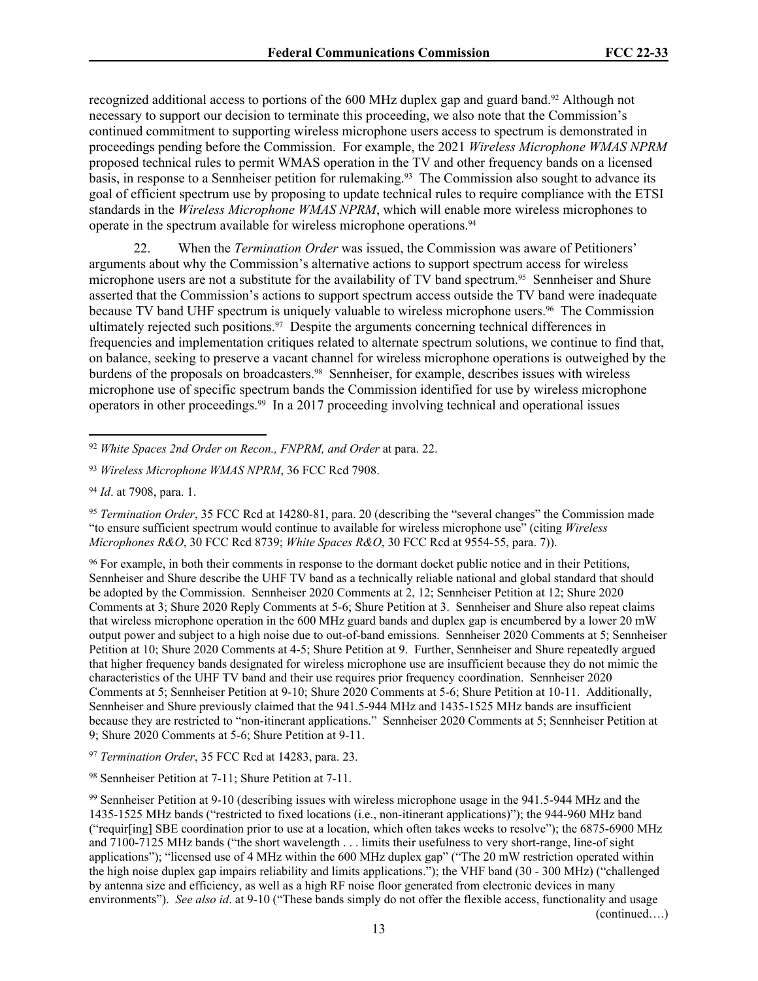recognized additional access to portions of the 600 MHz duplex gap and guard band.92 Although not necessary to support our decision to terminate this proceeding, we also note that the Commission's continued commitment to supporting wireless microphone users access to spectrum is demonstrated in proceedings pending before the Commission. For example, the 2021 *Wireless Microphone WMAS NPRM* proposed technical rules to permit WMAS operation in the TV and other frequency bands on a licensed basis, in response to a Sennheiser petition for rulemaking.<sup>93</sup> The Commission also sought to advance its goal of efficient spectrum use by proposing to update technical rules to require compliance with the ETSI standards in the *Wireless Microphone WMAS NPRM*, which will enable more wireless microphones to operate in the spectrum available for wireless microphone operations.<sup>94</sup>

22. When the *Termination Order* was issued, the Commission was aware of Petitioners' arguments about why the Commission's alternative actions to support spectrum access for wireless microphone users are not a substitute for the availability of TV band spectrum.95 Sennheiser and Shure asserted that the Commission's actions to support spectrum access outside the TV band were inadequate because TV band UHF spectrum is uniquely valuable to wireless microphone users.96 The Commission ultimately rejected such positions.<sup>97</sup> Despite the arguments concerning technical differences in frequencies and implementation critiques related to alternate spectrum solutions, we continue to find that, on balance, seeking to preserve a vacant channel for wireless microphone operations is outweighed by the burdens of the proposals on broadcasters.<sup>98</sup> Sennheiser, for example, describes issues with wireless microphone use of specific spectrum bands the Commission identified for use by wireless microphone operators in other proceedings.99 In a 2017 proceeding involving technical and operational issues

<sup>95</sup> *Termination Order*, 35 FCC Rcd at 14280-81, para. 20 (describing the "several changes" the Commission made "to ensure sufficient spectrum would continue to available for wireless microphone use" (citing *Wireless Microphones R&O*, 30 FCC Rcd 8739; *White Spaces R&O*, 30 FCC Rcd at 9554-55, para. 7)).

<sup>96</sup> For example, in both their comments in response to the dormant docket public notice and in their Petitions, Sennheiser and Shure describe the UHF TV band as a technically reliable national and global standard that should be adopted by the Commission. Sennheiser 2020 Comments at 2, 12; Sennheiser Petition at 12; Shure 2020 Comments at 3; Shure 2020 Reply Comments at 5-6; Shure Petition at 3. Sennheiser and Shure also repeat claims that wireless microphone operation in the 600 MHz guard bands and duplex gap is encumbered by a lower 20 mW output power and subject to a high noise due to out-of-band emissions. Sennheiser 2020 Comments at 5; Sennheiser Petition at 10; Shure 2020 Comments at 4-5; Shure Petition at 9. Further, Sennheiser and Shure repeatedly argued that higher frequency bands designated for wireless microphone use are insufficient because they do not mimic the characteristics of the UHF TV band and their use requires prior frequency coordination. Sennheiser 2020 Comments at 5; Sennheiser Petition at 9-10; Shure 2020 Comments at 5-6; Shure Petition at 10-11. Additionally, Sennheiser and Shure previously claimed that the 941.5-944 MHz and 1435-1525 MHz bands are insufficient because they are restricted to "non-itinerant applications." Sennheiser 2020 Comments at 5; Sennheiser Petition at 9; Shure 2020 Comments at 5-6; Shure Petition at 9-11.

<sup>97</sup> *Termination Order*, 35 FCC Rcd at 14283, para. 23.

<sup>98</sup> Sennheiser Petition at 7-11; Shure Petition at 7-11.

(continued….)

<sup>92</sup> *White Spaces 2nd Order on Recon., FNPRM, and Order* at para. 22.

<sup>93</sup> *Wireless Microphone WMAS NPRM*, 36 FCC Rcd 7908.

<sup>94</sup> *Id*. at 7908, para. 1.

<sup>99</sup> Sennheiser Petition at 9-10 (describing issues with wireless microphone usage in the 941.5-944 MHz and the 1435-1525 MHz bands ("restricted to fixed locations (i.e., non-itinerant applications)"); the 944-960 MHz band ("requir[ing] SBE coordination prior to use at a location, which often takes weeks to resolve"); the 6875-6900 MHz and 7100-7125 MHz bands ("the short wavelength . . . limits their usefulness to very short-range, line-of sight applications"); "licensed use of 4 MHz within the 600 MHz duplex gap" ("The 20 mW restriction operated within the high noise duplex gap impairs reliability and limits applications."); the VHF band (30 - 300 MHz) ("challenged by antenna size and efficiency, as well as a high RF noise floor generated from electronic devices in many environments"). *See also id*. at 9-10 ("These bands simply do not offer the flexible access, functionality and usage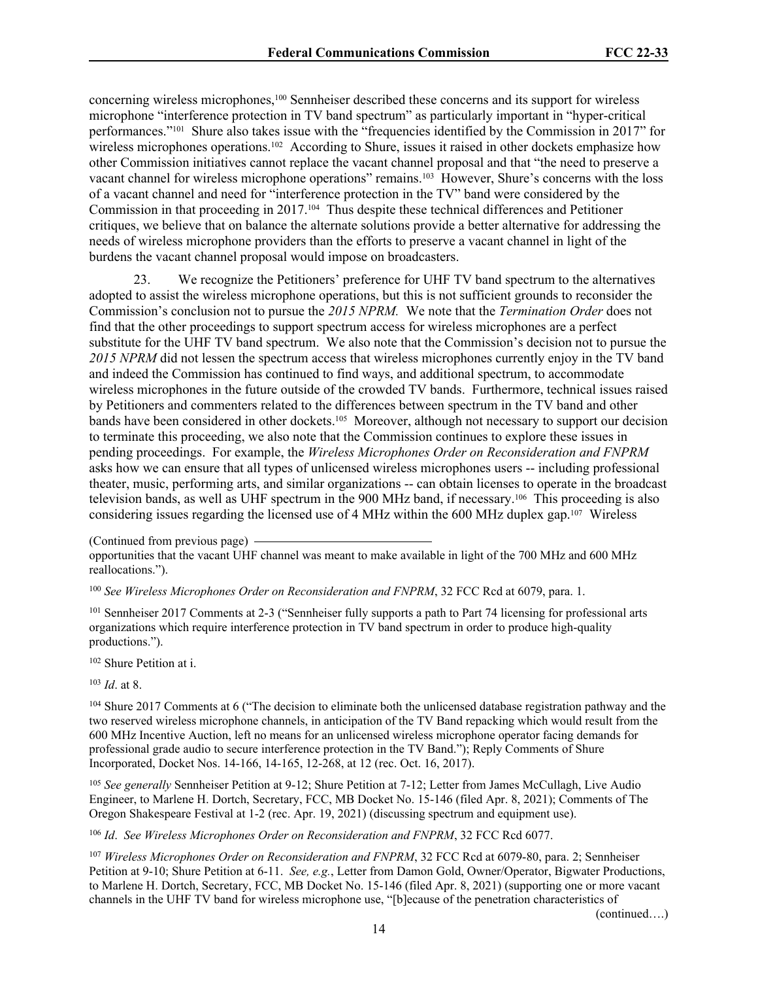concerning wireless microphones,100 Sennheiser described these concerns and its support for wireless microphone "interference protection in TV band spectrum" as particularly important in "hyper-critical performances."101 Shure also takes issue with the "frequencies identified by the Commission in 2017" for wireless microphones operations.<sup>102</sup> According to Shure, issues it raised in other dockets emphasize how other Commission initiatives cannot replace the vacant channel proposal and that "the need to preserve a vacant channel for wireless microphone operations" remains.103 However, Shure's concerns with the loss of a vacant channel and need for "interference protection in the TV" band were considered by the Commission in that proceeding in 2017.104 Thus despite these technical differences and Petitioner critiques, we believe that on balance the alternate solutions provide a better alternative for addressing the needs of wireless microphone providers than the efforts to preserve a vacant channel in light of the burdens the vacant channel proposal would impose on broadcasters.

23. We recognize the Petitioners' preference for UHF TV band spectrum to the alternatives adopted to assist the wireless microphone operations, but this is not sufficient grounds to reconsider the Commission's conclusion not to pursue the *2015 NPRM.* We note that the *Termination Order* does not find that the other proceedings to support spectrum access for wireless microphones are a perfect substitute for the UHF TV band spectrum. We also note that the Commission's decision not to pursue the *2015 NPRM* did not lessen the spectrum access that wireless microphones currently enjoy in the TV band and indeed the Commission has continued to find ways, and additional spectrum, to accommodate wireless microphones in the future outside of the crowded TV bands. Furthermore, technical issues raised by Petitioners and commenters related to the differences between spectrum in the TV band and other bands have been considered in other dockets.105 Moreover, although not necessary to support our decision to terminate this proceeding, we also note that the Commission continues to explore these issues in pending proceedings. For example, the *Wireless Microphones Order on Reconsideration and FNPRM*  asks how we can ensure that all types of unlicensed wireless microphones users -- including professional theater, music, performing arts, and similar organizations -- can obtain licenses to operate in the broadcast television bands, as well as UHF spectrum in the 900 MHz band, if necessary.106 This proceeding is also considering issues regarding the licensed use of 4 MHz within the 600 MHz duplex gap.107 Wireless

(Continued from previous page)

<sup>101</sup> Sennheiser 2017 Comments at 2-3 ("Sennheiser fully supports a path to Part 74 licensing for professional arts organizations which require interference protection in TV band spectrum in order to produce high-quality productions.").

<sup>102</sup> Shure Petition at i.

<sup>103</sup> *Id*. at 8.

<sup>104</sup> Shure 2017 Comments at 6 ("The decision to eliminate both the unlicensed database registration pathway and the two reserved wireless microphone channels, in anticipation of the TV Band repacking which would result from the 600 MHz Incentive Auction, left no means for an unlicensed wireless microphone operator facing demands for professional grade audio to secure interference protection in the TV Band."); Reply Comments of Shure Incorporated, Docket Nos. 14-166, 14-165, 12-268, at 12 (rec. Oct. 16, 2017).

<sup>105</sup> *See generally* Sennheiser Petition at 9-12; Shure Petition at 7-12; Letter from James McCullagh, Live Audio Engineer, to Marlene H. Dortch, Secretary, FCC, MB Docket No. 15-146 (filed Apr. 8, 2021); Comments of The Oregon Shakespeare Festival at 1-2 (rec. Apr. 19, 2021) (discussing spectrum and equipment use).

<sup>106</sup> *Id*. *See Wireless Microphones Order on Reconsideration and FNPRM*, 32 FCC Rcd 6077.

<sup>107</sup> *Wireless Microphones Order on Reconsideration and FNPRM*, 32 FCC Rcd at 6079-80, para. 2; Sennheiser Petition at 9-10; Shure Petition at 6-11. *See, e.g.*, Letter from Damon Gold, Owner/Operator, Bigwater Productions, to Marlene H. Dortch, Secretary, FCC, MB Docket No. 15-146 (filed Apr. 8, 2021) (supporting one or more vacant channels in the UHF TV band for wireless microphone use, "[b]ecause of the penetration characteristics of

(continued….)

opportunities that the vacant UHF channel was meant to make available in light of the 700 MHz and 600 MHz reallocations.").

<sup>100</sup> *See Wireless Microphones Order on Reconsideration and FNPRM*, 32 FCC Rcd at 6079, para. 1.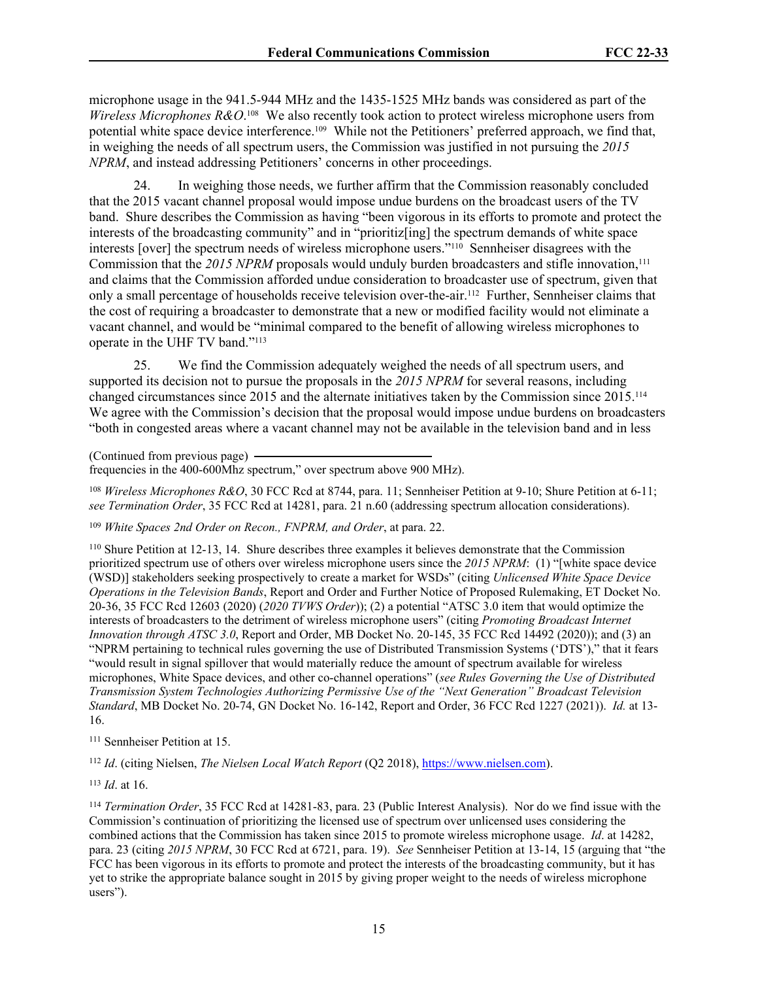microphone usage in the 941.5-944 MHz and the 1435-1525 MHz bands was considered as part of the *Wireless Microphones R&O*. <sup>108</sup> We also recently took action to protect wireless microphone users from potential white space device interference.109 While not the Petitioners' preferred approach, we find that, in weighing the needs of all spectrum users, the Commission was justified in not pursuing the *2015 NPRM*, and instead addressing Petitioners' concerns in other proceedings.

24. In weighing those needs, we further affirm that the Commission reasonably concluded that the 2015 vacant channel proposal would impose undue burdens on the broadcast users of the TV band. Shure describes the Commission as having "been vigorous in its efforts to promote and protect the interests of the broadcasting community" and in "prioritiz[ing] the spectrum demands of white space interests [over] the spectrum needs of wireless microphone users."<sup>110</sup> Sennheiser disagrees with the Commission that the 2015 NPRM proposals would unduly burden broadcasters and stifle innovation,<sup>111</sup> and claims that the Commission afforded undue consideration to broadcaster use of spectrum, given that only a small percentage of households receive television over-the-air.112 Further, Sennheiser claims that the cost of requiring a broadcaster to demonstrate that a new or modified facility would not eliminate a vacant channel, and would be "minimal compared to the benefit of allowing wireless microphones to operate in the UHF TV band."<sup>113</sup>

25. We find the Commission adequately weighed the needs of all spectrum users, and supported its decision not to pursue the proposals in the *2015 NPRM* for several reasons, including changed circumstances since 2015 and the alternate initiatives taken by the Commission since 2015.<sup>114</sup> We agree with the Commission's decision that the proposal would impose undue burdens on broadcasters "both in congested areas where a vacant channel may not be available in the television band and in less

(Continued from previous page)

frequencies in the 400-600Mhz spectrum," over spectrum above 900 MHz).

<sup>108</sup> *Wireless Microphones R&O*, 30 FCC Rcd at 8744, para. 11; Sennheiser Petition at 9-10; Shure Petition at 6-11; *see Termination Order*, 35 FCC Rcd at 14281, para. 21 n.60 (addressing spectrum allocation considerations).

<sup>109</sup> *White Spaces 2nd Order on Recon., FNPRM, and Order*, at para. 22.

<sup>110</sup> Shure Petition at 12-13, 14. Shure describes three examples it believes demonstrate that the Commission prioritized spectrum use of others over wireless microphone users since the *2015 NPRM*: (1) "[white space device (WSD)] stakeholders seeking prospectively to create a market for WSDs" (citing *Unlicensed White Space Device Operations in the Television Bands*, Report and Order and Further Notice of Proposed Rulemaking, ET Docket No. 20-36, 35 FCC Rcd 12603 (2020) (*2020 TVWS Order*)); (2) a potential "ATSC 3.0 item that would optimize the interests of broadcasters to the detriment of wireless microphone users" (citing *Promoting Broadcast Internet Innovation through ATSC 3.0*, Report and Order, MB Docket No. 20-145, 35 FCC Rcd 14492 (2020)); and (3) an "NPRM pertaining to technical rules governing the use of Distributed Transmission Systems ('DTS')," that it fears "would result in signal spillover that would materially reduce the amount of spectrum available for wireless microphones, White Space devices, and other co-channel operations" (*see Rules Governing the Use of Distributed Transmission System Technologies Authorizing Permissive Use of the "Next Generation" Broadcast Television Standard*, MB Docket No. 20-74, GN Docket No. 16-142, Report and Order, 36 FCC Rcd 1227 (2021)). *Id.* at 13- 16.

<sup>111</sup> Sennheiser Petition at 15.

<sup>112</sup> *Id*. (citing Nielsen, *The Nielsen Local Watch Report* (Q2 2018),<https://www.nielsen.com>).

<sup>113</sup> *Id*. at 16.

<sup>114</sup> *Termination Order*, 35 FCC Rcd at 14281-83, para. 23 (Public Interest Analysis). Nor do we find issue with the Commission's continuation of prioritizing the licensed use of spectrum over unlicensed uses considering the combined actions that the Commission has taken since 2015 to promote wireless microphone usage. *Id*. at 14282, para. 23 (citing *2015 NPRM*, 30 FCC Rcd at 6721, para. 19). *See* Sennheiser Petition at 13-14, 15 (arguing that "the FCC has been vigorous in its efforts to promote and protect the interests of the broadcasting community, but it has yet to strike the appropriate balance sought in 2015 by giving proper weight to the needs of wireless microphone users").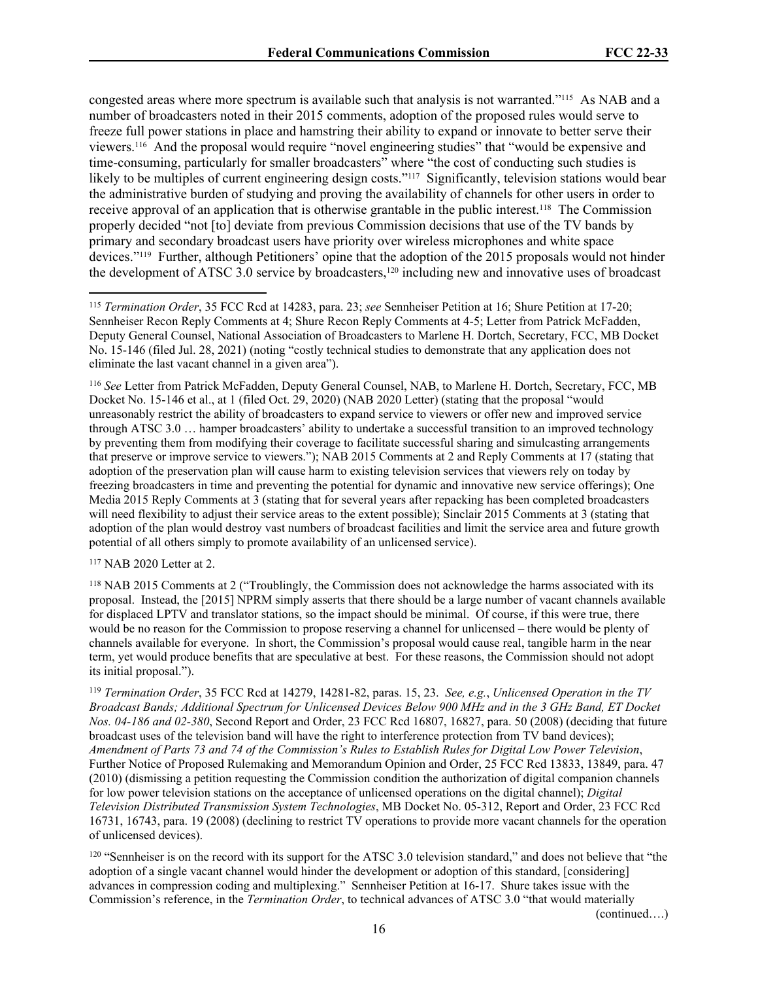congested areas where more spectrum is available such that analysis is not warranted."115 As NAB and a number of broadcasters noted in their 2015 comments, adoption of the proposed rules would serve to freeze full power stations in place and hamstring their ability to expand or innovate to better serve their viewers.116 And the proposal would require "novel engineering studies" that "would be expensive and time-consuming, particularly for smaller broadcasters" where "the cost of conducting such studies is likely to be multiples of current engineering design costs."<sup>117</sup> Significantly, television stations would bear the administrative burden of studying and proving the availability of channels for other users in order to receive approval of an application that is otherwise grantable in the public interest.118 The Commission properly decided "not [to] deviate from previous Commission decisions that use of the TV bands by primary and secondary broadcast users have priority over wireless microphones and white space devices."119 Further, although Petitioners' opine that the adoption of the 2015 proposals would not hinder the development of ATSC 3.0 service by broadcasters,<sup>120</sup> including new and innovative uses of broadcast

<sup>116</sup> *See* Letter from Patrick McFadden, Deputy General Counsel, NAB, to Marlene H. Dortch, Secretary, FCC, MB Docket No. 15-146 et al., at 1 (filed Oct. 29, 2020) (NAB 2020 Letter) (stating that the proposal "would unreasonably restrict the ability of broadcasters to expand service to viewers or offer new and improved service through ATSC 3.0 … hamper broadcasters' ability to undertake a successful transition to an improved technology by preventing them from modifying their coverage to facilitate successful sharing and simulcasting arrangements that preserve or improve service to viewers."); NAB 2015 Comments at 2 and Reply Comments at 17 (stating that adoption of the preservation plan will cause harm to existing television services that viewers rely on today by freezing broadcasters in time and preventing the potential for dynamic and innovative new service offerings); One Media 2015 Reply Comments at 3 (stating that for several years after repacking has been completed broadcasters will need flexibility to adjust their service areas to the extent possible); Sinclair 2015 Comments at 3 (stating that adoption of the plan would destroy vast numbers of broadcast facilities and limit the service area and future growth potential of all others simply to promote availability of an unlicensed service).

<sup>117</sup> NAB 2020 Letter at 2.

<sup>118</sup> NAB 2015 Comments at 2 ("Troublingly, the Commission does not acknowledge the harms associated with its proposal. Instead, the [2015] NPRM simply asserts that there should be a large number of vacant channels available for displaced LPTV and translator stations, so the impact should be minimal. Of course, if this were true, there would be no reason for the Commission to propose reserving a channel for unlicensed – there would be plenty of channels available for everyone. In short, the Commission's proposal would cause real, tangible harm in the near term, yet would produce benefits that are speculative at best. For these reasons, the Commission should not adopt its initial proposal.").

<sup>119</sup> *Termination Order*, 35 FCC Rcd at 14279, 14281-82, paras. 15, 23. *See, e.g.*, *Unlicensed Operation in the TV Broadcast Bands; Additional Spectrum for Unlicensed Devices Below 900 MHz and in the 3 GHz Band, ET Docket Nos. 04-186 and 02-380*, Second Report and Order, 23 FCC Rcd 16807, 16827, para. 50 (2008) (deciding that future broadcast uses of the television band will have the right to interference protection from TV band devices); *Amendment of Parts 73 and 74 of the Commission's Rules to Establish Rules for Digital Low Power Television*, Further Notice of Proposed Rulemaking and Memorandum Opinion and Order, 25 FCC Rcd 13833, 13849, para. 47 (2010) (dismissing a petition requesting the Commission condition the authorization of digital companion channels for low power television stations on the acceptance of unlicensed operations on the digital channel); *Digital Television Distributed Transmission System Technologies*, MB Docket No. 05-312, Report and Order, 23 FCC Rcd 16731, 16743, para. 19 (2008) (declining to restrict TV operations to provide more vacant channels for the operation of unlicensed devices).

 $120$  "Sennheiser is on the record with its support for the ATSC 3.0 television standard," and does not believe that "the adoption of a single vacant channel would hinder the development or adoption of this standard, [considering] advances in compression coding and multiplexing." Sennheiser Petition at 16-17. Shure takes issue with the Commission's reference, in the *Termination Order*, to technical advances of ATSC 3.0 "that would materially

(continued….)

<sup>115</sup> *Termination Order*, 35 FCC Rcd at 14283, para. 23; *see* Sennheiser Petition at 16; Shure Petition at 17-20; Sennheiser Recon Reply Comments at 4; Shure Recon Reply Comments at 4-5; Letter from Patrick McFadden, Deputy General Counsel, National Association of Broadcasters to Marlene H. Dortch, Secretary, FCC, MB Docket No. 15-146 (filed Jul. 28, 2021) (noting "costly technical studies to demonstrate that any application does not eliminate the last vacant channel in a given area").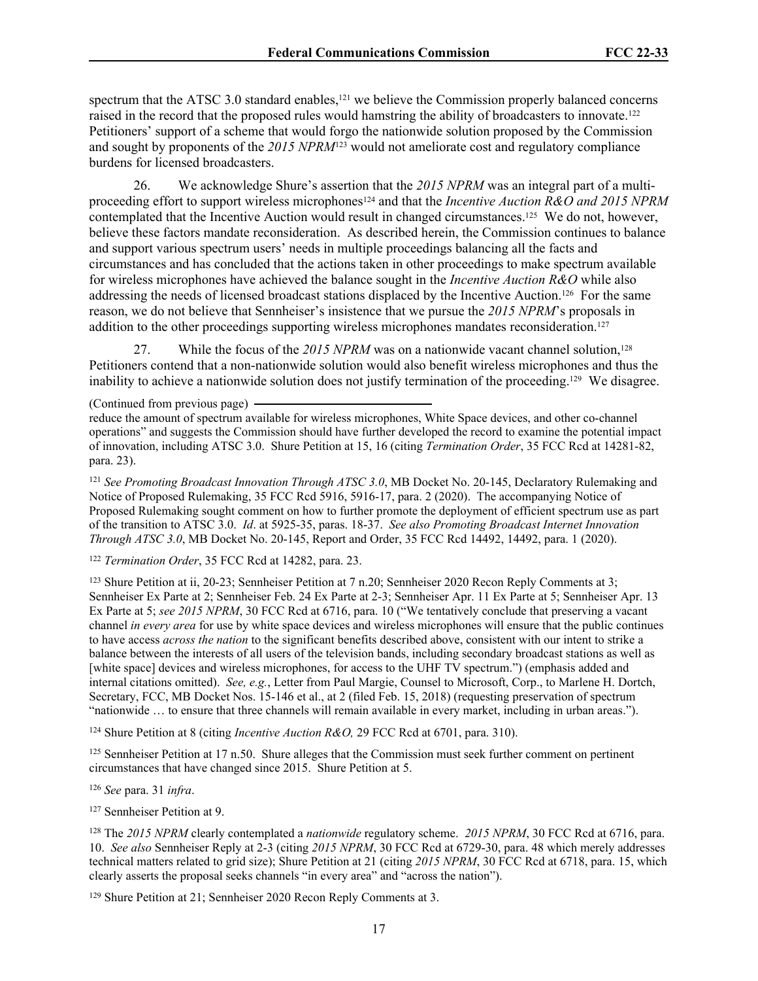spectrum that the ATSC 3.0 standard enables, $<sup>121</sup>$  we believe the Commission properly balanced concerns</sup> raised in the record that the proposed rules would hamstring the ability of broadcasters to innovate.<sup>122</sup> Petitioners' support of a scheme that would forgo the nationwide solution proposed by the Commission and sought by proponents of the *2015 NPRM*123 would not ameliorate cost and regulatory compliance burdens for licensed broadcasters.

26. We acknowledge Shure's assertion that the *2015 NPRM* was an integral part of a multiproceeding effort to support wireless microphones<sup>124</sup> and that the *Incentive Auction R&O and 2015 NPRM* contemplated that the Incentive Auction would result in changed circumstances.125 We do not, however, believe these factors mandate reconsideration. As described herein, the Commission continues to balance and support various spectrum users' needs in multiple proceedings balancing all the facts and circumstances and has concluded that the actions taken in other proceedings to make spectrum available for wireless microphones have achieved the balance sought in the *Incentive Auction R&O* while also addressing the needs of licensed broadcast stations displaced by the Incentive Auction.126 For the same reason, we do not believe that Sennheiser's insistence that we pursue the *2015 NPRM*'s proposals in addition to the other proceedings supporting wireless microphones mandates reconsideration.<sup>127</sup>

27. While the focus of the 2015 NPRM was on a nationwide vacant channel solution,<sup>128</sup> Petitioners contend that a non-nationwide solution would also benefit wireless microphones and thus the inability to achieve a nationwide solution does not justify termination of the proceeding.129 We disagree.

(Continued from previous page)

<sup>121</sup> *See Promoting Broadcast Innovation Through ATSC 3.0*, MB Docket No. 20-145, Declaratory Rulemaking and Notice of Proposed Rulemaking, 35 FCC Rcd 5916, 5916-17, para. 2 (2020). The accompanying Notice of Proposed Rulemaking sought comment on how to further promote the deployment of efficient spectrum use as part of the transition to ATSC 3.0. *Id*. at 5925-35, paras. 18-37. *See also Promoting Broadcast Internet Innovation Through ATSC 3.0*, MB Docket No. 20-145, Report and Order, 35 FCC Rcd 14492, 14492, para. 1 (2020).

<sup>122</sup> *Termination Order*, 35 FCC Rcd at 14282, para. 23.

<sup>123</sup> Shure Petition at ii, 20-23; Sennheiser Petition at 7 n.20; Sennheiser 2020 Recon Reply Comments at 3; Sennheiser Ex Parte at 2; Sennheiser Feb. 24 Ex Parte at 2-3; Sennheiser Apr. 11 Ex Parte at 5; Sennheiser Apr. 13 Ex Parte at 5; *see 2015 NPRM*, 30 FCC Rcd at 6716, para. 10 ("We tentatively conclude that preserving a vacant channel *in every area* for use by white space devices and wireless microphones will ensure that the public continues to have access *across the nation* to the significant benefits described above, consistent with our intent to strike a balance between the interests of all users of the television bands, including secondary broadcast stations as well as [white space] devices and wireless microphones, for access to the UHF TV spectrum.") (emphasis added and internal citations omitted). *See, e.g.*, Letter from Paul Margie, Counsel to Microsoft, Corp., to Marlene H. Dortch, Secretary, FCC, MB Docket Nos. 15-146 et al., at 2 (filed Feb. 15, 2018) (requesting preservation of spectrum "nationwide … to ensure that three channels will remain available in every market, including in urban areas.").

<sup>124</sup> Shure Petition at 8 (citing *Incentive Auction R&O,* 29 FCC Rcd at 6701, para. 310).

<sup>125</sup> Sennheiser Petition at 17 n.50. Shure alleges that the Commission must seek further comment on pertinent circumstances that have changed since 2015. Shure Petition at 5.

<sup>126</sup> *See* para. 31 *infra*.

<sup>127</sup> Sennheiser Petition at 9.

<sup>128</sup> The *2015 NPRM* clearly contemplated a *nationwide* regulatory scheme. *2015 NPRM*, 30 FCC Rcd at 6716, para. 10. *See also* Sennheiser Reply at 2-3 (citing *2015 NPRM*, 30 FCC Rcd at 6729-30, para. 48 which merely addresses technical matters related to grid size); Shure Petition at 21 (citing *2015 NPRM*, 30 FCC Rcd at 6718, para. 15, which clearly asserts the proposal seeks channels "in every area" and "across the nation").

129 Shure Petition at 21; Sennheiser 2020 Recon Reply Comments at 3.

reduce the amount of spectrum available for wireless microphones, White Space devices, and other co-channel operations" and suggests the Commission should have further developed the record to examine the potential impact of innovation, including ATSC 3.0. Shure Petition at 15, 16 (citing *Termination Order*, 35 FCC Rcd at 14281-82, para. 23).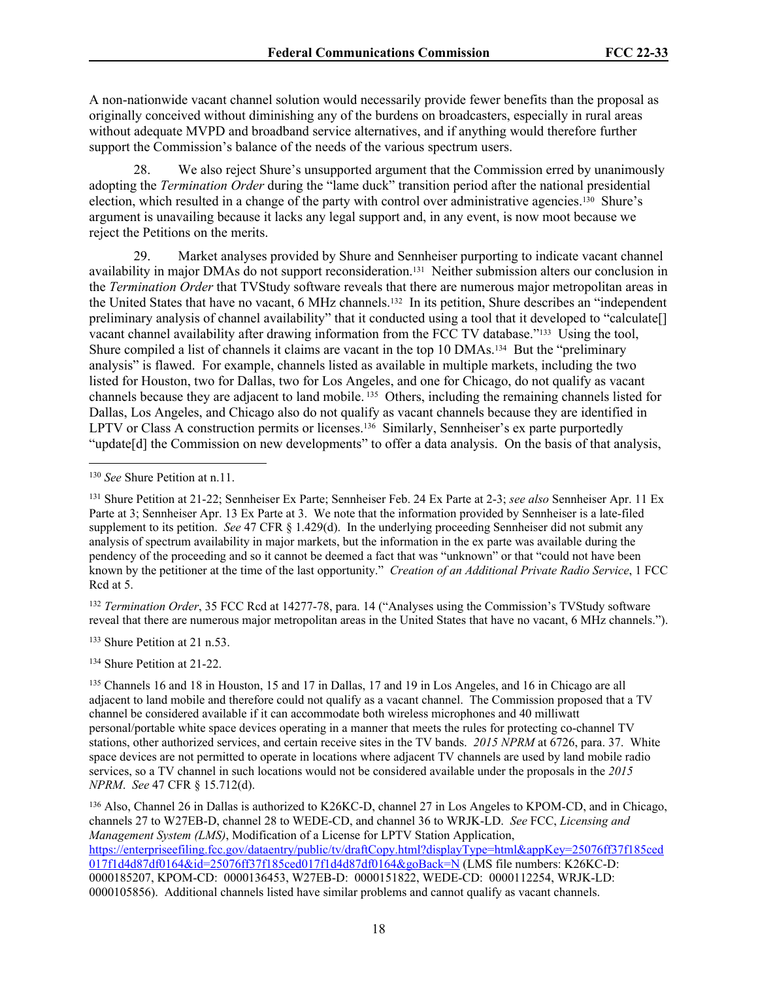A non-nationwide vacant channel solution would necessarily provide fewer benefits than the proposal as originally conceived without diminishing any of the burdens on broadcasters, especially in rural areas without adequate MVPD and broadband service alternatives, and if anything would therefore further support the Commission's balance of the needs of the various spectrum users.

28. We also reject Shure's unsupported argument that the Commission erred by unanimously adopting the *Termination Order* during the "lame duck" transition period after the national presidential election, which resulted in a change of the party with control over administrative agencies.130 Shure's argument is unavailing because it lacks any legal support and, in any event, is now moot because we reject the Petitions on the merits.

29. Market analyses provided by Shure and Sennheiser purporting to indicate vacant channel availability in major DMAs do not support reconsideration.131 Neither submission alters our conclusion in the *Termination Order* that TVStudy software reveals that there are numerous major metropolitan areas in the United States that have no vacant, 6 MHz channels.132 In its petition, Shure describes an "independent preliminary analysis of channel availability" that it conducted using a tool that it developed to "calculate[] vacant channel availability after drawing information from the FCC TV database."133 Using the tool, Shure compiled a list of channels it claims are vacant in the top 10 DMAs.134 But the "preliminary analysis" is flawed. For example, channels listed as available in multiple markets, including the two listed for Houston, two for Dallas, two for Los Angeles, and one for Chicago, do not qualify as vacant channels because they are adjacent to land mobile. 135 Others, including the remaining channels listed for Dallas, Los Angeles, and Chicago also do not qualify as vacant channels because they are identified in LPTV or Class A construction permits or licenses.<sup>136</sup> Similarly, Sennheiser's ex parte purportedly "update[d] the Commission on new developments" to offer a data analysis. On the basis of that analysis,

<sup>132</sup> *Termination Order*, 35 FCC Rcd at 14277-78, para. 14 ("Analyses using the Commission's TVStudy software reveal that there are numerous major metropolitan areas in the United States that have no vacant, 6 MHz channels.").

<sup>133</sup> Shure Petition at 21 n.53.

<sup>134</sup> Shure Petition at 21-22.

<sup>135</sup> Channels 16 and 18 in Houston, 15 and 17 in Dallas, 17 and 19 in Los Angeles, and 16 in Chicago are all adjacent to land mobile and therefore could not qualify as a vacant channel. The Commission proposed that a TV channel be considered available if it can accommodate both wireless microphones and 40 milliwatt personal/portable white space devices operating in a manner that meets the rules for protecting co-channel TV stations, other authorized services, and certain receive sites in the TV bands. *2015 NPRM* at 6726, para. 37. White space devices are not permitted to operate in locations where adjacent TV channels are used by land mobile radio services, so a TV channel in such locations would not be considered available under the proposals in the *2015 NPRM*. *See* 47 CFR § 15.712(d).

<sup>130</sup> *See* Shure Petition at n.11.

<sup>131</sup> Shure Petition at 21-22; Sennheiser Ex Parte; Sennheiser Feb. 24 Ex Parte at 2-3; *see also* Sennheiser Apr. 11 Ex Parte at 3; Sennheiser Apr. 13 Ex Parte at 3. We note that the information provided by Sennheiser is a late-filed supplement to its petition. *See* 47 CFR § 1.429(d). In the underlying proceeding Sennheiser did not submit any analysis of spectrum availability in major markets, but the information in the ex parte was available during the pendency of the proceeding and so it cannot be deemed a fact that was "unknown" or that "could not have been known by the petitioner at the time of the last opportunity." *Creation of an Additional Private Radio Service*, 1 FCC Rcd at 5.

<sup>136</sup> Also, Channel 26 in Dallas is authorized to K26KC-D, channel 27 in Los Angeles to KPOM-CD, and in Chicago, channels 27 to W27EB-D, channel 28 to WEDE-CD, and channel 36 to WRJK-LD. *See* FCC, *Licensing and Management System (LMS)*, Modification of a License for LPTV Station Application, [https://enterpriseefiling.fcc.gov/dataentry/public/tv/draftCopy.html?displayType=html&appKey=25076ff37f185ced](https://enterpriseefiling.fcc.gov/dataentry/public/tv/draftCopy.html?displayType=html&appKey=25076ff37f185ced017f1d4d87df0164&id=25076ff37f185ced017f1d4d87df0164&goBack=N) [017f1d4d87df0164&id=25076ff37f185ced017f1d4d87df0164&goBack=N](https://enterpriseefiling.fcc.gov/dataentry/public/tv/draftCopy.html?displayType=html&appKey=25076ff37f185ced017f1d4d87df0164&id=25076ff37f185ced017f1d4d87df0164&goBack=N) (LMS file numbers: K26KC-D: 0000185207, KPOM-CD: 0000136453, W27EB-D: 0000151822, WEDE-CD: 0000112254, WRJK-LD: 0000105856). Additional channels listed have similar problems and cannot qualify as vacant channels.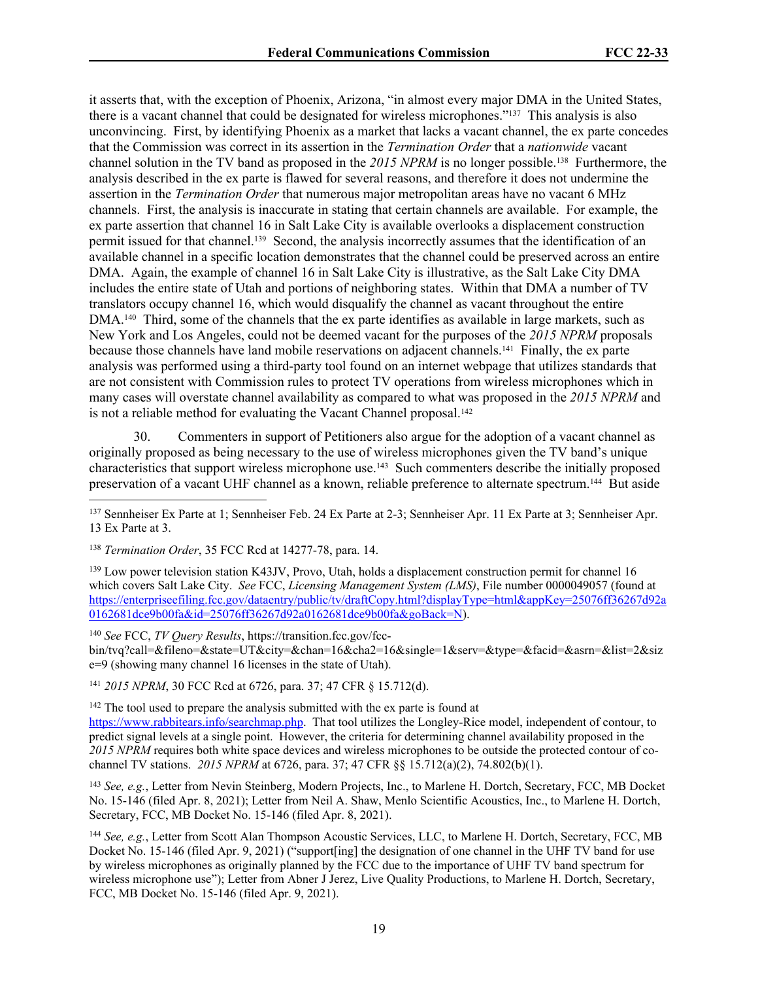it asserts that, with the exception of Phoenix, Arizona, "in almost every major DMA in the United States, there is a vacant channel that could be designated for wireless microphones."137 This analysis is also unconvincing. First, by identifying Phoenix as a market that lacks a vacant channel, the ex parte concedes that the Commission was correct in its assertion in the *Termination Order* that a *nationwide* vacant channel solution in the TV band as proposed in the 2015 NPRM is no longer possible.<sup>138</sup> Furthermore, the analysis described in the ex parte is flawed for several reasons, and therefore it does not undermine the assertion in the *Termination Order* that numerous major metropolitan areas have no vacant 6 MHz channels. First, the analysis is inaccurate in stating that certain channels are available. For example, the ex parte assertion that channel 16 in Salt Lake City is available overlooks a displacement construction permit issued for that channel.139 Second, the analysis incorrectly assumes that the identification of an available channel in a specific location demonstrates that the channel could be preserved across an entire DMA. Again, the example of channel 16 in Salt Lake City is illustrative, as the Salt Lake City DMA includes the entire state of Utah and portions of neighboring states. Within that DMA a number of TV translators occupy channel 16, which would disqualify the channel as vacant throughout the entire DMA.140 Third, some of the channels that the ex parte identifies as available in large markets, such as New York and Los Angeles, could not be deemed vacant for the purposes of the *2015 NPRM* proposals because those channels have land mobile reservations on adjacent channels.141 Finally, the ex parte analysis was performed using a third-party tool found on an internet webpage that utilizes standards that are not consistent with Commission rules to protect TV operations from wireless microphones which in many cases will overstate channel availability as compared to what was proposed in the *2015 NPRM* and is not a reliable method for evaluating the Vacant Channel proposal.<sup>142</sup>

30. Commenters in support of Petitioners also argue for the adoption of a vacant channel as originally proposed as being necessary to the use of wireless microphones given the TV band's unique characteristics that support wireless microphone use.143 Such commenters describe the initially proposed preservation of a vacant UHF channel as a known, reliable preference to alternate spectrum.<sup>144</sup> But aside

<sup>139</sup> Low power television station K43JV, Provo, Utah, holds a displacement construction permit for channel 16 which covers Salt Lake City. *See* FCC, *Licensing Management System (LMS)*, File number 0000049057 (found at [https://enterpriseefiling.fcc.gov/dataentry/public/tv/draftCopy.html?displayType=html&appKey=25076ff36267d92a](https://enterpriseefiling.fcc.gov/dataentry/public/tv/draftCopy.html?displayType=html&appKey=25076ff36267d92a0162681dce9b00fa&id=25076ff36267d92a0162681dce9b00fa&goBack=N) [0162681dce9b00fa&id=25076ff36267d92a0162681dce9b00fa&goBack=N\)](https://enterpriseefiling.fcc.gov/dataentry/public/tv/draftCopy.html?displayType=html&appKey=25076ff36267d92a0162681dce9b00fa&id=25076ff36267d92a0162681dce9b00fa&goBack=N).

<sup>140</sup> *See* FCC, *TV Query Results*, https://transition.fcc.gov/fccbin/tvq?call=&fileno=&state=UT&city=&chan=16&cha2=16&single=1&serv=&type=&facid=&asrn=&list=2&siz e=9 (showing many channel 16 licenses in the state of Utah).

<sup>141</sup> *2015 NPRM*, 30 FCC Rcd at 6726, para. 37; 47 CFR § 15.712(d).

<sup>142</sup> The tool used to prepare the analysis submitted with the ex parte is found at <https://www.rabbitears.info/searchmap.php>. That tool utilizes the Longley-Rice model, independent of contour, to predict signal levels at a single point. However, the criteria for determining channel availability proposed in the *2015 NPRM* requires both white space devices and wireless microphones to be outside the protected contour of cochannel TV stations. *2015 NPRM* at 6726, para. 37; 47 CFR §§ 15.712(a)(2), 74.802(b)(1).

<sup>143</sup> *See, e.g.*, Letter from Nevin Steinberg, Modern Projects, Inc., to Marlene H. Dortch, Secretary, FCC, MB Docket No. 15-146 (filed Apr. 8, 2021); Letter from Neil A. Shaw, Menlo Scientific Acoustics, Inc., to Marlene H. Dortch, Secretary, FCC, MB Docket No. 15-146 (filed Apr. 8, 2021).

<sup>144</sup> *See, e.g.*, Letter from Scott Alan Thompson Acoustic Services, LLC, to Marlene H. Dortch, Secretary, FCC, MB Docket No. 15-146 (filed Apr. 9, 2021) ("support[ing] the designation of one channel in the UHF TV band for use by wireless microphones as originally planned by the FCC due to the importance of UHF TV band spectrum for wireless microphone use"); Letter from Abner J Jerez, Live Quality Productions, to Marlene H. Dortch, Secretary, FCC, MB Docket No. 15-146 (filed Apr. 9, 2021).

<sup>137</sup> Sennheiser Ex Parte at 1; Sennheiser Feb. 24 Ex Parte at 2-3; Sennheiser Apr. 11 Ex Parte at 3; Sennheiser Apr. 13 Ex Parte at 3.

<sup>138</sup> *Termination Order*, 35 FCC Rcd at 14277-78, para. 14.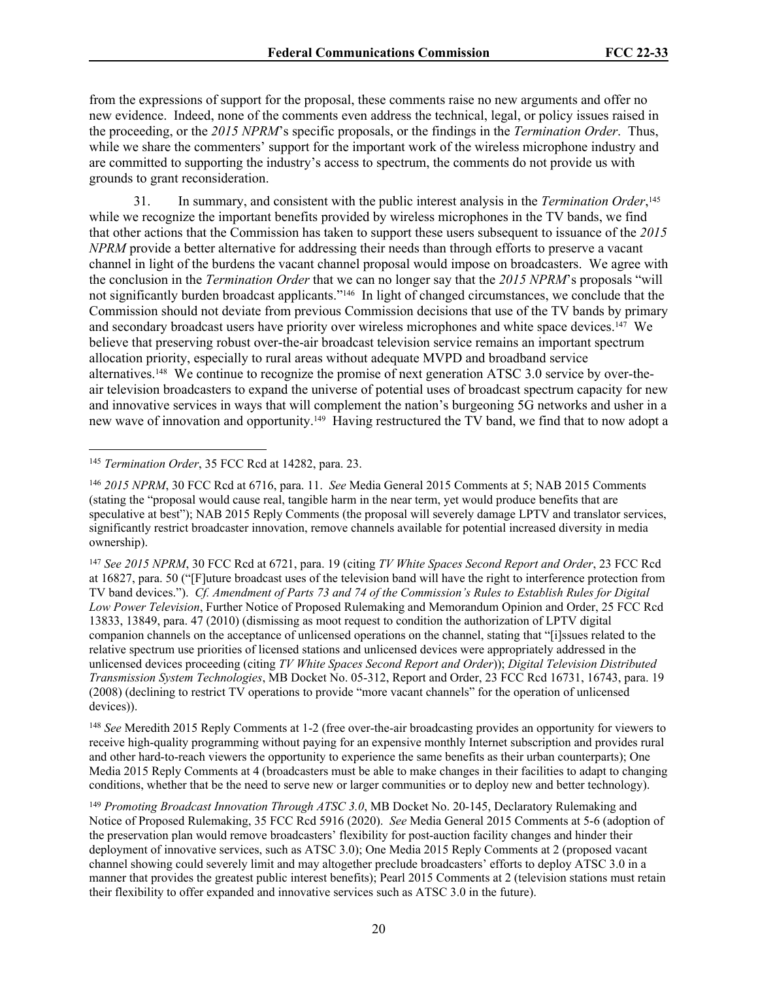from the expressions of support for the proposal, these comments raise no new arguments and offer no new evidence. Indeed, none of the comments even address the technical, legal, or policy issues raised in the proceeding, or the *2015 NPRM*'s specific proposals, or the findings in the *Termination Order*. Thus, while we share the commenters' support for the important work of the wireless microphone industry and are committed to supporting the industry's access to spectrum, the comments do not provide us with grounds to grant reconsideration.

31. In summary, and consistent with the public interest analysis in the *Termination Order*, 145 while we recognize the important benefits provided by wireless microphones in the TV bands, we find that other actions that the Commission has taken to support these users subsequent to issuance of the *2015 NPRM* provide a better alternative for addressing their needs than through efforts to preserve a vacant channel in light of the burdens the vacant channel proposal would impose on broadcasters. We agree with the conclusion in the *Termination Order* that we can no longer say that the *2015 NPRM*'s proposals "will not significantly burden broadcast applicants."146 In light of changed circumstances, we conclude that the Commission should not deviate from previous Commission decisions that use of the TV bands by primary and secondary broadcast users have priority over wireless microphones and white space devices.147 We believe that preserving robust over-the-air broadcast television service remains an important spectrum allocation priority, especially to rural areas without adequate MVPD and broadband service alternatives.148 We continue to recognize the promise of next generation ATSC 3.0 service by over-theair television broadcasters to expand the universe of potential uses of broadcast spectrum capacity for new and innovative services in ways that will complement the nation's burgeoning 5G networks and usher in a new wave of innovation and opportunity.149 Having restructured the TV band, we find that to now adopt a

<sup>148</sup> *See* Meredith 2015 Reply Comments at 1-2 (free over-the-air broadcasting provides an opportunity for viewers to receive high-quality programming without paying for an expensive monthly Internet subscription and provides rural and other hard-to-reach viewers the opportunity to experience the same benefits as their urban counterparts); One Media 2015 Reply Comments at 4 (broadcasters must be able to make changes in their facilities to adapt to changing conditions, whether that be the need to serve new or larger communities or to deploy new and better technology).

<sup>145</sup> *Termination Order*, 35 FCC Rcd at 14282, para. 23.

<sup>146</sup> *2015 NPRM*, 30 FCC Rcd at 6716, para. 11. *See* Media General 2015 Comments at 5; NAB 2015 Comments (stating the "proposal would cause real, tangible harm in the near term, yet would produce benefits that are speculative at best"); NAB 2015 Reply Comments (the proposal will severely damage LPTV and translator services, significantly restrict broadcaster innovation, remove channels available for potential increased diversity in media ownership).

<sup>147</sup> *See 2015 NPRM*, 30 FCC Rcd at 6721, para. 19 (citing *TV White Spaces Second Report and Order*, 23 FCC Rcd at 16827, para. 50 ("[F]uture broadcast uses of the television band will have the right to interference protection from TV band devices."). *Cf. Amendment of Parts 73 and 74 of the Commission's Rules to Establish Rules for Digital Low Power Television*, Further Notice of Proposed Rulemaking and Memorandum Opinion and Order, 25 FCC Rcd 13833, 13849, para. 47 (2010) (dismissing as moot request to condition the authorization of LPTV digital companion channels on the acceptance of unlicensed operations on the channel, stating that "[i]ssues related to the relative spectrum use priorities of licensed stations and unlicensed devices were appropriately addressed in the unlicensed devices proceeding (citing *TV White Spaces Second Report and Order*)); *Digital Television Distributed Transmission System Technologies*, MB Docket No. 05-312, Report and Order, 23 FCC Rcd 16731, 16743, para. 19 (2008) (declining to restrict TV operations to provide "more vacant channels" for the operation of unlicensed devices)).

<sup>149</sup> *Promoting Broadcast Innovation Through ATSC 3.0*, MB Docket No. 20-145, Declaratory Rulemaking and Notice of Proposed Rulemaking, 35 FCC Rcd 5916 (2020). *See* Media General 2015 Comments at 5-6 (adoption of the preservation plan would remove broadcasters' flexibility for post-auction facility changes and hinder their deployment of innovative services, such as ATSC 3.0); One Media 2015 Reply Comments at 2 (proposed vacant channel showing could severely limit and may altogether preclude broadcasters' efforts to deploy ATSC 3.0 in a manner that provides the greatest public interest benefits); Pearl 2015 Comments at 2 (television stations must retain their flexibility to offer expanded and innovative services such as ATSC 3.0 in the future).